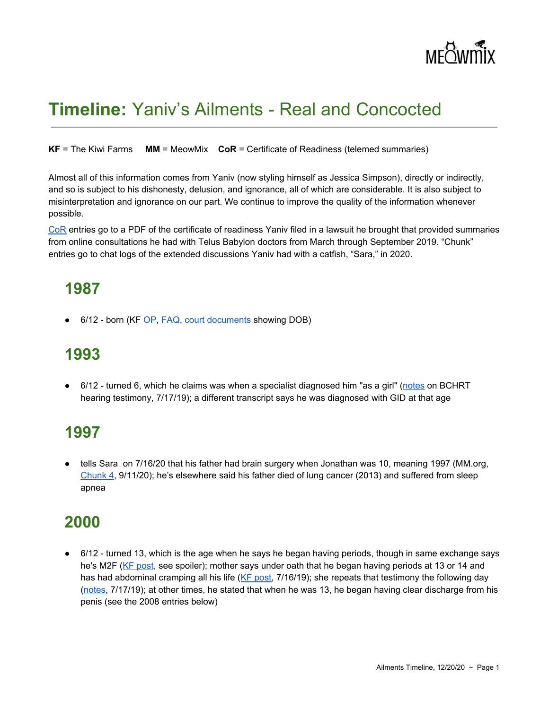

# **Timeline:** Yaniv's Ailments - Real and Concocted

**KF** = The Kiwi Farms **MM** = MeowMix **CoR** = Certificate of Readiness (telemed summaries)

Almost all of this information comes from Yaniv (now styling himself as Jessica Simpson), directly or indirectly, and so is subject to his dishonesty, delusion, and ignorance, all of which are considerable. It is also subject to misinterpretation and ignorance on our part. We continue to improve the quality of the information whenever possible.

[CoR](https://meowmix.org/?mdocs-file=6753) entries go to a PDF of the certificate of readiness Yaniv filed in a lawsuit he brought that provided summaries from online consultations he had with Telus Babylon doctors from March through September 2019. "Chunk" entries go to chat logs of the extended discussions Yaniv had with a catfish, "Sara," in 2020.

### **1987**

● 6/12 - born (KF [OP,](https://kiwifarms.net/threads/jonathan-yaniv-jessica-yaniv-trustednerd-trustednerd-com-jy-knows-it-jy-british-columbia.49790/) [FAQ](https://kiwifarms.net/threads/jonathan-jessica-yaniv-faq.58763/), court [documents](https://kiwifarms.net/threads/jonathan-jessica-yaniv-faq.58763/post-5746968) showing DOB)

# **1993**

● 6/12 - turned 6, which he claims was when a specialist diagnosed him "as a girl" [\(notes](https://archive.li/QQtQn#selection-3911.0-3915.68) on BCHRT hearing testimony, 7/17/19); a different transcript says he was diagnosed with GID at that age

# **1997**

• tells Sara on 7/16/20 that his father had brain surgery when Jonathan was 10, meaning 1997 (MM.org, [Chunk](https://meowmix.org/jessica-yaniv-simpson-chat-transcripts-sara-my/) 4, 9/11/20); he's elsewhere said his father died of lung cancer (2013) and suffered from sleep apnea

### **2000**

● 6/12 - turned 13, which is the age when he says he began having periods, though in same exchange says he's M2F (KF [post](https://kiwifarms.net/threads/jonathan-yaniv-jessica-yaniv-trustednerd-trustednerd-com-jy-knows-it-jy-british-columbia.49790/post-4142839), see spoiler); mother says under oath that he began having periods at 13 or 14 and has had abdominal cramping all his life (KF [post,](https://kiwifarms.net/threads/jonathan-yaniv-jessica-yaniv-trustednerd-trustednerd-com-jy-knows-it-jy-british-columbia.49790/post-5014073) 7/16/19); she repeats that testimony the following day [\(notes,](https://archive.li/QQtQn#selection-3911.0-3915.68) 7/17/19); at other times, he stated that when he was 13, he began having clear discharge from his penis (see the 2008 entries below)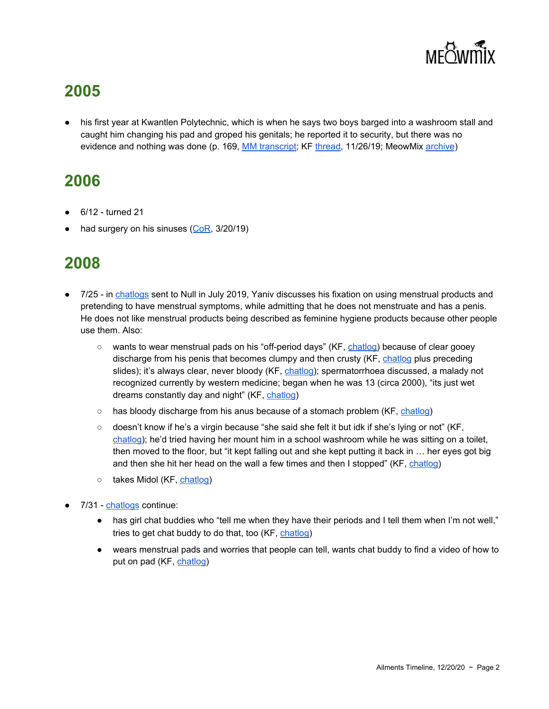

his first year at Kwantlen Polytechnic, which is when he says two boys barged into a washroom stall and caught him changing his pad and groped his genitals; he reported it to security, but there was no evidence and nothing was done (p. 169, MM [transcript;](https://meowmix.org/the-mandapanda-log/) KF [thread](https://kiwifarms.net/threads/mandapanda-log-leaks.63526/), 11/26/19; MeowMix [archive](https://archive.fo/wip/IYyVY))

# **2006**

- 6/12 turned 21
- had surgery on his sinuses ( $CoR$ ,  $3/20/19$ )

- 7/25 in [chatlogs](https://kiwifarms.net/threads/yaniv-chatlogs-from-2008.58735/) sent to Null in July 2019, Yaniv discusses his fixation on using menstrual products and pretending to have menstrual symptoms, while admitting that he does not menstruate and has a penis. He does not like menstrual products being described as feminine hygiene products because other people use them. Also:
	- wants to wear menstrual pads on his "off-period days" (KF, [chatlog\)](https://kiwifarms.net/threads/yaniv-chatlogs-from-2008.58735/#lg=post-5048931&slide=2) because of clear gooey discharge from his penis that becomes clumpy and then crusty (KF, [chatlog](https://kiwifarms.net/threads/yaniv-chatlogs-from-2008.58735/#lg=post-5048931&slide=6) plus preceding slides); it's always clear, never bloody (KF, [chatlog\)](https://kiwifarms.net/threads/yaniv-chatlogs-from-2008.58735/#lg=post-5048931&slide=15); spermatorrhoea discussed, a malady not recognized currently by western medicine; began when he was 13 (circa 2000), "its just wet dreams constantly day and night" (KF, [chatlog\)](https://kiwifarms.net/threads/yaniv-chatlogs-from-2008.58735/#lg=post-5048931&slide=19)
	- has bloody discharge from his anus because of a stomach problem (KF, [chatlog](https://kiwifarms.net/threads/yaniv-chatlogs-from-2008.58735/#lg=post-5048931&slide=15))
	- doesn't know if he's a virgin because "she said she felt it but idk if she's lying or not" (KF, [chatlog](https://kiwifarms.net/threads/yaniv-chatlogs-from-2008.58735/#lg=post-5048931&slide=9)); he'd tried having her mount him in a school washroom while he was sitting on a toilet, then moved to the floor, but "it kept falling out and she kept putting it back in … her eyes got big and then she hit her head on the wall a few times and then I stopped" (KF, [chatlog\)](https://kiwifarms.net/threads/yaniv-chatlogs-from-2008.58735/#lg=post-5048931&slide=10)
	- takes Midol (KF, [chatlog](https://kiwifarms.net/threads/yaniv-chatlogs-from-2008.58735/#lg=post-5048931&slide=18))
- 7/31 [chatlogs](https://kiwifarms.net/threads/yaniv-chatlogs-from-2008.58735/post-5048934) continue:
	- has girl chat buddies who "tell me when they have their periods and I tell them when I'm not well," tries to get chat buddy to do that, too (KF, [chatlog\)](https://kiwifarms.net/threads/yaniv-chatlogs-from-2008.58735/#lg=post-5048934&slide=4)
	- wears menstrual pads and worries that people can tell, wants chat buddy to find a video of how to put on pad (KF, [chatlog\)](https://kiwifarms.net/threads/yaniv-chatlogs-from-2008.58735/#lg=post-5048934&slide=7)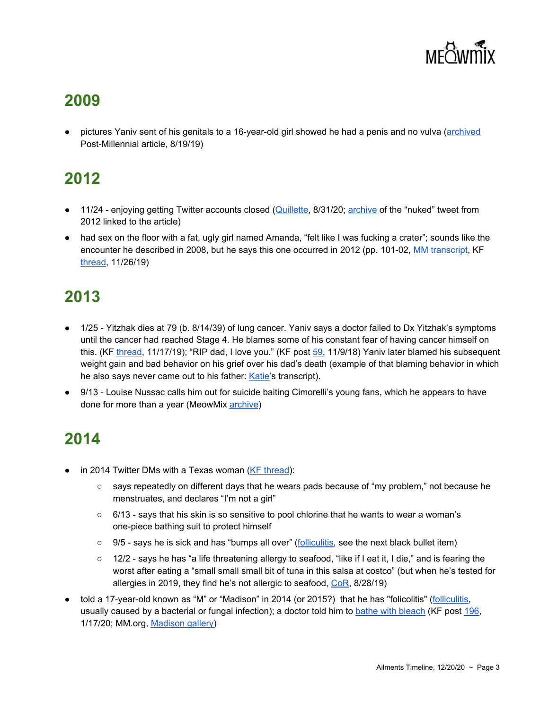

pictures Yaniv sent of his genitals to a 16-year-old girl showed he had a penis and no vulva ([archived](https://archive.li/q8lDB#selection-26.0-30.2) Post-Millennial article, 8/19/19)

# **2012**

- 11/24 enjoying getting Twitter accounts closed ([Quillette,](https://quillette.com/2019/08/31/yanivs-other-racket-how-a-single-gender-troll-managed-to-get-hundreds-of-women-thrown-off-twitter/) 8/31/20; [archive](https://archive.fo/5KmJl)) of the "nuked" tweet from 2012 linked to the article)
- had sex on the floor with a fat, ugly girl named Amanda, "felt like I was fucking a crater"; sounds like the encounter he described in 2008, but he says this one occurred in 2012 (pp. 101-02, MM [transcript,](https://meowmix.org/the-mandapanda-log/) KF [thread](https://kiwifarms.net/threads/mandapanda-log-leaks.63526/), 11/26/19)

# **2013**

- 1/25 Yitzhak dies at 79 (b. 8/14/39) of lung cancer. Yaniv says a doctor failed to Dx Yitzhak's symptoms until the cancer had reached Stage 4. He blames some of his constant fear of having cancer himself on this. (KF [thread](https://kiwifarms.net/threads/images-from-katie-speaks-out-jys-meow-mix.63259/#lg=post-5602866&slide=4), 11/17/19); "RIP dad, I love you." (KF post [59](https://kiwifarms.net/threads/jonathan-yaniv-jessica-yaniv-trustednerd-trustednerd-com-jy-knows-it-jy-british-columbia.49790/page-3#post-3960950), 11/9/18) Yaniv later blamed his subsequent weight gain and bad behavior on his grief over his dad's death (example of that blaming behavior in which he also says never came out to his father: [Katie'](https://kiwifarms.net/threads/images-from-katie-speaks-out-jys-meow-mix.63259/#lg=post-5602866&slide=7)s transcript).
- 9/13 Louise Nussac calls him out for suicide baiting Cimorelli's young fans, which he appears to have done for more than a year (MeowMix [archive](https://archive.fo/wip/YrOms))

- in 2014 Twitter DMs with a Texas woman ( $KF$  [thread](https://kiwifarms.net/threads/yaniv-dms-from-2014.63132/)):
	- says repeatedly on different days that he wears pads because of "my problem," not because he menstruates, and declares "I'm not a girl"
	- $\circ$  6/13 says that his skin is so sensitive to pool chlorine that he wants to wear a woman's one-piece bathing suit to protect himself
	- 9/5 says he is sick and has "bumps all over" [\(folliculitis](https://www.mayoclinic.org/diseases-conditions/folliculitis/symptoms-causes/syc-20361634), see the next black bullet item)
	- 12/2 says he has "a life threatening allergy to seafood, "like if I eat it, I die," and is fearing the worst after eating a "small small small bit of tuna in this salsa at costco" (but when he's tested for allergies in 2019, they find he's not allergic to seafood, [CoR](https://meowmix.org/?mdocs-file=6753), 8/28/19)
- told a 17-year-old known as "M" or "Madison" in 2014 (or 2015?) that he has "folicolitis" ([folliculitis,](https://www.mayoclinic.org/diseases-conditions/folliculitis/symptoms-causes/syc-20361634) usually caused by a bacterial or fungal infection); a doctor told him to [b](https://www.bbc.com/news/health-24940406)athe with [bleach](https://www.bbc.com/news/health-24940406) (KF post [196,](https://kiwifarms.net/threads/jys-munchie-saga.58730/post-5879489) 1/17/20; MM.org, [Madison](https://meowtube.org/images/index.php?sfpg=VmljdGltX1N0b3JpZXMvTWFkaXNvbi8qKjBkYWM3NDYyOTRlZjlmYTUwOWMyMzFmMTUyMDA2YjMwMjZkYjIyZGZmZGI1NmUxZjIyYzdlODFkZTY3YjQ2MDE) gallery)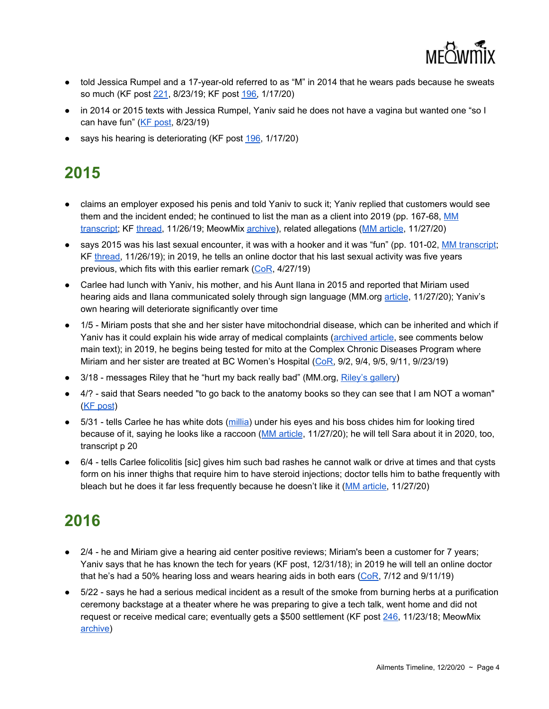

- told Jessica Rumpel and a 17-year-old referred to as "M" in 2014 that he wears pads because he sweats so much (KF post [221,](https://kiwifarms.net/threads/8-22-19-jessica-rumpel-visits-the-farms.60037/post-5212000) 8/23/19; KF post [196](https://kiwifarms.net/threads/jys-munchie-saga.58730/post-5879489), 1/17/20)
- in 2014 or 2015 texts with Jessica Rumpel, Yaniv said he does not have a vagina but wanted one "so I can have fun" (KF [post](https://kiwifarms.net/threads/8-22-19-jessica-rumpel-visits-the-farms.60037/post-5211937), 8/23/19)
- says his hearing is deteriorating (KF post [196](https://kiwifarms.net/threads/jys-munchie-saga.58730/post-5879489), 1/17/20)

- claims an employer exposed his penis and told Yaniv to suck it; Yaniv replied that customers would see them and the incident ended; he continued to list the man as a client into 2019 (pp. 167-68, [MM](https://meowmix.org/the-mandapanda-log/) [transcript](https://meowmix.org/the-mandapanda-log/); KF [thread,](https://kiwifarms.net/threads/mandapanda-log-leaks.63526/) 11/26/19; MeowMix [archive\)](https://archive.fo/wip/IYyVY), related allegations (MM [article](https://meowmix.org/carlee-speaks-up-about-jessica-yaniv-simpson/), 11/27/20)
- says 2015 was his last sexual encounter, it was with a hooker and it was "fun" (pp. 101-02, MM [transcript;](https://meowmix.org/the-mandapanda-log/) KF [thread,](https://kiwifarms.net/threads/mandapanda-log-leaks.63526/) 11/26/19); in 2019, he tells an online doctor that his last sexual activity was five years previous, which fits with this earlier remark ([CoR,](https://meowmix.org/?mdocs-file=6753) 4/27/19)
- Carlee had lunch with Yaniv, his mother, and his Aunt Ilana in 2015 and reported that Miriam used hearing aids and Ilana communicated solely through sign language (MM.org [article](https://meowmix.org/carlee-speaks-up-about-jessica-yaniv-simpson/), 11/27/20); Yaniv's own hearing will deteriorate significantly over time
- 1/5 Miriam posts that she and her sister have mitochondrial disease, which can be inherited and which if Yaniv has it could explain his wide array of medical complaints [\(archived](https://archive.li/yJiKd#selection-903.0-903.21) article, see comments below main text); in 2019, he begins being tested for mito at the Complex Chronic Diseases Program where Miriam and her sister are treated at BC Women's Hospital ([CoR,](https://meowmix.org/?mdocs-file=6753) 9/2, 9/4, 9/5, 9/11, 9//23/19)
- 3/18 messages Riley that he "hurt my back really bad" (MM.org, [Riley's](https://meowtube.org/images/index.php?sfpg=VmljdGltX1N0b3JpZXMvUmlsZXkvKiphNTUzMzY2NjA1MGU3MjFlNTRlMzNmMmMwOWI5YTgxZmUzMmZmYjg2OWI1MGUzMWZlN2ZkZTMzMmY1YTQxYmI3) gallery)
- 4/? said that Sears needed "to go back to the anatomy books so they can see that I am NOT a woman" (KF [post\)](https://kiwifarms.net/threads/jonathan-yaniv-jessica-yaniv-trustednerd-trustednerd-com-jy-knows-it-jy-british-columbia.49790/post-4981245)
- 5/31 tells Carlee he has white dots [\(millia\)](https://www.healthline.com/health/milia) under his eyes and his boss chides him for looking tired because of it, saying he looks like a raccoon (MM [article,](https://meowmix.org/carlee-speaks-up-about-jessica-yaniv-simpson/) 11/27/20); he will tell Sara about it in 2020, too, transcript p 20
- 6/4 tells Carlee folicolitis [sic] gives him such bad rashes he cannot walk or drive at times and that cysts form on his inner thighs that require him to have steroid injections; doctor tells him to bathe frequently with bleach but he does it far less frequently because he doesn't like it (MM [article](https://meowmix.org/carlee-speaks-up-about-jessica-yaniv-simpson/), 11/27/20)

- 2/4 he and Miriam give a hearing aid center positive reviews; Miriam's been a customer for 7 years; Yaniv says that he has known the tech for years (KF [post,](https://kiwifarms.net/threads/jonathan-yaniv-jessica-yaniv-trustednerd-trustednerd-com-jy-knows-it-jy-british-columbia.49790/post-4145593) 12/31/18); in 2019 he will tell an online doctor that he's had a 50% hearing loss and wears hearing aids in both ears  $(CoR, 7/12$  $(CoR, 7/12$  and 9/11/19)
- 5/22 says he had a serious medical incident as a result of the smoke from burning herbs at a purification ceremony backstage at a theater where he was preparing to give a tech talk, went home and did not request or receive medical care; eventually gets a \$500 settlement (KF post [246,](https://kiwifarms.net/threads/jonathan-yaniv-jessica-yaniv-trustednerd-trustednerd-com-jy-knows-it-jy-british-columbia.49790/page-13#lg=post-4009481&slide=0) 11/23/18; MeowMix [archive](https://archive.fo/C5XFy))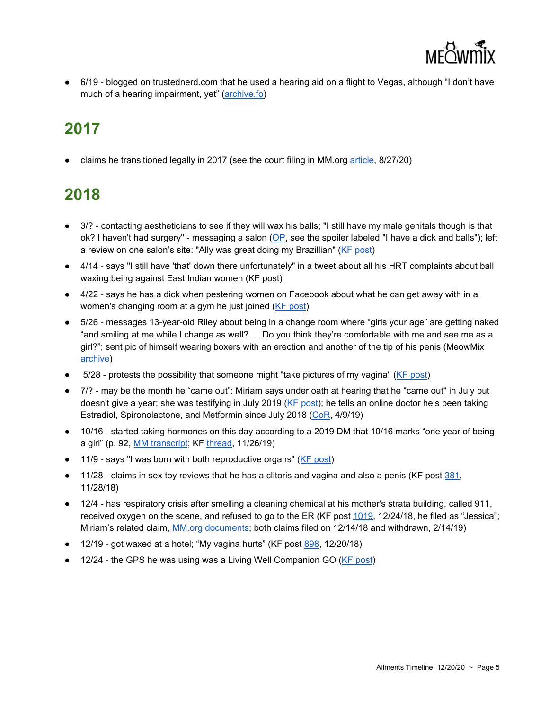

● 6/19 - blogged on trustednerd.com that he used a hearing aid on a flight to Vegas, although "I don't have much of a hearing impairment, yet" [\(archive.fo\)](https://archive.fo/3P5pt)

# **2017**

• claims he transitioned legally in 2017 (see the court filing in MM.org [article](https://meowmix.org/jessica-yaniv-arrested-on-aug-8-sues-township-of-langley/), 8/27/20)

- 3/? contacting aestheticians to see if they will wax his balls; "I still have my male genitals though is that ok? I haven't had surgery" - messaging a salon ([OP](https://kiwifarms.net/threads/jonathan-yaniv-jessica-yaniv-trustednerd-trustednerd-com-jy-knows-it-jy-british-columbia.49790/), see the spoiler labeled "I have a dick and balls"); left a review on one salon's site: "Ally was great doing my Brazillian" (KF [post\)](https://kiwifarms.net/threads/jonathan-yaniv-jessica-yaniv-trustednerd-trustednerd-com-jy-knows-it-jy-british-columbia.49790/post-4015567)
- 4/14 says "I still have 'that' down there unfortunately" in a tweet about all his HRT complaints about ball waxing being against East Indian women (KF [post\)](https://kiwifarms.net/threads/jonathan-yaniv-jessica-yaniv-trustednerd-trustednerd-com-jy-knows-it-jy-british-columbia.49790/post-4139188)
- 4/22 says he has a dick when pestering women on Facebook about what he can get away with in a women's changing room at a gym he just joined (KF [post](https://kiwifarms.net/threads/jonathan-yaniv-jessica-yaniv-trustednerd-trustednerd-com-jy-knows-it-jy-british-columbia.49790/post-3961001))
- 5/26 messages 13-year-old Riley about being in a change room where "girls your age" are getting naked "and smiling at me while I change as well? … Do you think they're comfortable with me and see me as a girl?"; sent pic of himself wearing boxers with an erection and another of the tip of his penis (MeowMix [archive](https://archive.fo/wip/KRSdx))
- 5/28 protests the possibility that someone might "take pictures of my vagina" (KF [post](https://kiwifarms.net/threads/jonathan-yaniv-jessica-yaniv-trustednerd-trustednerd-com-jy-knows-it-jy-british-columbia.49790/post-4767938))
- 7/? may be the month he "came out": Miriam says under oath at hearing that he "came out" in July but doesn't give a year; she was testifying in July 2019 (KF [post\)](https://kiwifarms.net/threads/jonathan-yaniv-jessica-yaniv-trustednerd-trustednerd-com-jy-knows-it-jy-british-columbia.49790/post-5014073); he tells an online doctor he's been taking Estradiol, Spironolactone, and Metformin since July 2018 [\(CoR](https://meowmix.org/?mdocs-file=6753), 4/9/19)
- 10/16 started taking hormones on this day according to a 2019 DM that 10/16 marks "one year of being a girl" (p. 92, MM [transcript](https://meowmix.org/the-mandapanda-log/); KF [thread,](https://kiwifarms.net/threads/mandapanda-log-leaks.63526/) 11/26/19)
- 11/9 says "I was born with both reproductive organs" (KF [post](https://kiwifarms.net/threads/jonathan-yaniv-jessica-yaniv-trustednerd-trustednerd-com-jy-knows-it-jy-british-columbia.49790/post-3960738))
- $\bullet$  11/28 claims in sex toy reviews that he has a clitoris and vagina and also a penis (KF post  $381$ , 11/28/18)
- 12/4 has respiratory crisis after smelling a cleaning chemical at his mother's strata building, called 911, received oxygen on the scene, and refused to go to the ER (KF post [1019](https://kiwifarms.net/threads/jonathan-yaniv-jessica-yaniv-trustednerd-trustednerd-com-jy-knows-it-jy-british-columbia.49790/page-51#lg=post-4121784&slide=0), 12/24/18, he filed as "Jessica"; Miriam's related claim, MM.org [documents;](https://meowmix.org/?mdocs-file=6743;%20Reply,%20https://meowmix.org/?mdocs-file=6745) both claims filed on 12/14/18 and withdrawn, 2/14/19)
- $\bullet$  12/19 got waxed at a hotel; "My vagina hurts" (KF post  $898$ , 12/20/18)
- 12/24 the GPS he was using was a Living Well Companion GO (KF [post\)](https://kiwifarms.net/threads/jonathan-yaniv-jessica-yaniv-trustednerd-trustednerd-com-jy-knows-it-jy-british-columbia.49790/page-51#lg=post-4121784&slide=1)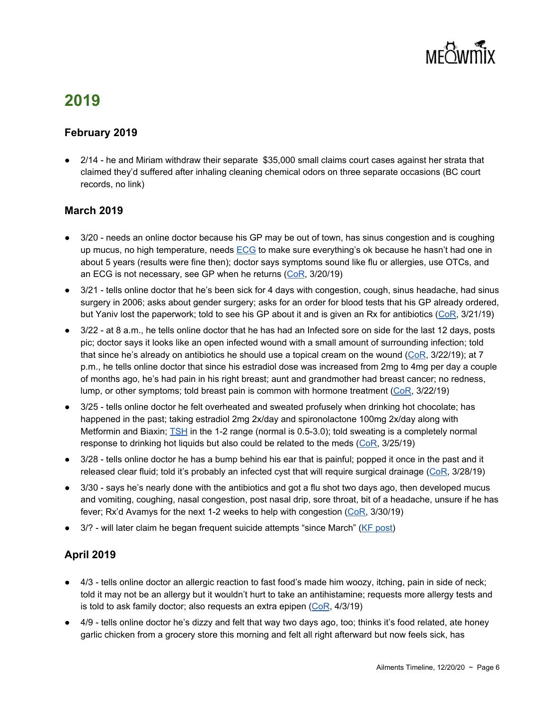

#### **February 2019**

● 2/14 - he and Miriam withdraw their separate \$35,000 small claims court cases against her strata that claimed they'd suffered after inhaling cleaning chemical odors on three separate occasions (BC court records, no link)

#### **March 2019**

- 3/20 needs an online doctor because his GP may be out of town, has sinus congestion and is coughing up mucus, no high temperature, needs [ECG](https://www.mayoclinic.org/tests-procedures/ekg/about/pac-20384983) to make sure everything's ok because he hasn't had one in about 5 years (results were fine then); doctor says symptoms sound like flu or allergies, use OTCs, and an ECG is not necessary, see GP when he returns  $(CoR, 3/20/19)$  $(CoR, 3/20/19)$
- 3/21 tells online doctor that he's been sick for 4 days with congestion, cough, sinus headache, had sinus surgery in 2006; asks about gender surgery; asks for an order for blood tests that his GP already ordered, but Yaniv lost the paperwork; told to see his GP about it and is given an Rx for antibiotics ([CoR,](https://meowmix.org/?mdocs-file=6753) 3/21/19)
- 3/22 at 8 a.m., he tells online doctor that he has had an Infected sore on side for the last 12 days, posts pic; doctor says it looks like an open infected wound with a small amount of surrounding infection; told that since he's already on antibiotics he should use a topical cream on the wound  $(CoR, 3/22/19)$  $(CoR, 3/22/19)$ ; at 7 p.m., he tells online doctor that since his estradiol dose was increased from 2mg to 4mg per day a couple of months ago, he's had pain in his right breast; aunt and grandmother had breast cancer; no redness, lump, or other symptoms; told breast pain is common with hormone treatment  $(CoR, 3/22/19)$  $(CoR, 3/22/19)$  $(CoR, 3/22/19)$
- 3/25 tells online doctor he felt overheated and sweated profusely when drinking hot chocolate; has happened in the past; taking estradiol 2mg 2x/day and spironolactone 100mg 2x/day along with Metformin and Biaxin; [TSH](https://www.healthline.com/health/tsh) in the 1-2 range (normal is 0.5-3.0); told sweating is a completely normal response to drinking hot liquids but also could be related to the meds  $(CoR, 3/25/19)$  $(CoR, 3/25/19)$
- 3/28 tells online doctor he has a bump behind his ear that is painful; popped it once in the past and it released clear fluid; told it's probably an infected cyst that will require surgical drainage ( $CoR$ ,  $3/28/19$ )
- 3/30 says he's nearly done with the antibiotics and got a flu shot two days ago, then developed mucus and vomiting, coughing, nasal congestion, post nasal drip, sore throat, bit of a headache, unsure if he has fever; Rx'd Avamys for the next 1-2 weeks to help with congestion  $(CoR, 3/30/19)$  $(CoR, 3/30/19)$  $(CoR, 3/30/19)$
- 3/? will later claim he began frequent suicide attempts "since March" (KF [post\)](https://kiwifarms.net/threads/jonathan-yaniv-jessica-yaniv-trustednerd-trustednerd-com-jy-knows-it-jy-british-columbia.49790/post-4756788)

#### **April 2019**

- 4/3 tells online doctor an allergic reaction to fast food's made him woozy, itching, pain in side of neck; told it may not be an allergy but it wouldn't hurt to take an antihistamine; requests more allergy tests and is told to ask family doctor; also requests an extra epipen  $(CoR, 4/3/19)$  $(CoR, 4/3/19)$  $(CoR, 4/3/19)$
- 4/9 tells online doctor he's dizzy and felt that way two days ago, too; thinks it's food related, ate honey garlic chicken from a grocery store this morning and felt all right afterward but now feels sick, has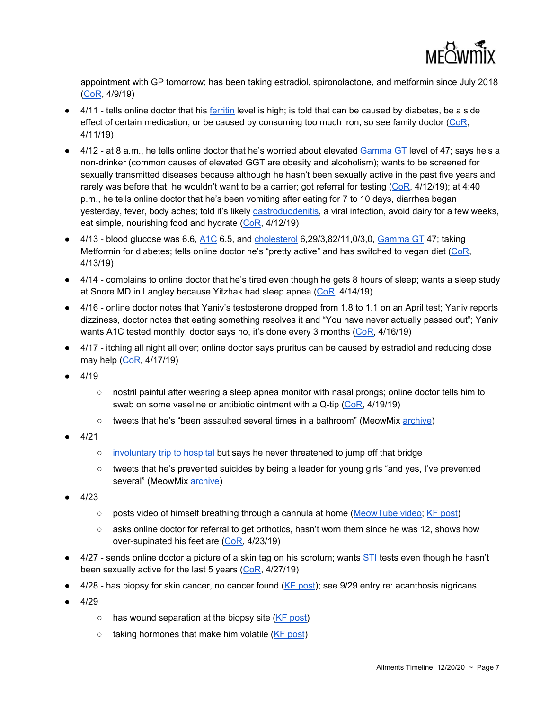

appointment with GP tomorrow; has been taking estradiol, spironolactone, and metformin since July 2018 [\(CoR](https://meowmix.org/?mdocs-file=6753), 4/9/19)

- 4/11 tells online doctor that his [ferritin](https://www.mayoclinic.org/tests-procedures/ferritin-test/about/pac-20384928) level is high; is told that can be caused by diabetes, be a side effect of certain medication, or be caused by consuming too much iron, so see family doctor [\(CoR](https://meowmix.org/?mdocs-file=6753), 4/11/19)
- 4/12 at 8 a.m., he tells online doctor that he's worried about elevated [Gamma](https://labtestsonline.org/tests/gamma-glutamyl-transferase-ggt) GT level of 47; says he's a non-drinker (common causes of elevated GGT are obesity and alcoholism); wants to be screened for sexually transmitted diseases because although he hasn't been sexually active in the past five years and rarely was before that, he wouldn't want to be a carrier; got referral for testing  $(CoR, 4/12/19)$  $(CoR, 4/12/19)$ ; at 4:40 p.m., he tells online doctor that he's been vomiting after eating for 7 to 10 days, diarrhea began yesterday, fever, body aches; told it's likely [gastroduodenitis,](https://www.healthline.com/health/gastritis-duodenitis) a viral infection, avoid dairy for a few weeks, eat simple, nourishing food and hydrate ([CoR](https://meowmix.org/?mdocs-file=6753), 4/12/19)
- $\bullet$  4/13 blood glucose was 6.6,  $\underline{\text{A1C}}$  $\underline{\text{A1C}}$  $\underline{\text{A1C}}$  6.5, and [cholesterol](https://www.webmd.com/cholesterol-management/cholesterol-tests-understand-your-results) 6,29/3,82/11,0/3,0,  $\underline{\text{Gamma GT}}$  $\underline{\text{Gamma GT}}$  $\underline{\text{Gamma GT}}$  47; taking Metformin for diabetes; tells online doctor he's "pretty active" and has switched to vegan diet [\(CoR,](https://meowmix.org/?mdocs-file=6753) 4/13/19)
- 4/14 complains to online doctor that he's tired even though he gets 8 hours of sleep; wants a sleep study at Snore MD in Langley because Yitzhak had sleep apnea [\(CoR,](https://meowmix.org/?mdocs-file=6753) 4/14/19)
- 4/16 online doctor notes that Yaniv's testosterone dropped from 1.8 to 1.1 on an April test; Yaniv reports dizziness, doctor notes that eating something resolves it and "You have never actually passed out"; Yaniv wants A1C tested monthly, doctor says no, it's done every 3 months ([CoR,](https://meowmix.org/?mdocs-file=6753) 4/16/19)
- 4/17 itching all night all over; online doctor says pruritus can be caused by estradiol and reducing dose may help [\(CoR,](https://meowmix.org/?mdocs-file=6753) 4/17/19)
- 4/19
	- nostril painful after wearing a sleep apnea monitor with nasal prongs; online doctor tells him to swab on some vaseline or antibiotic ointment with a Q-tip [\(CoR](https://meowmix.org/?mdocs-file=6753), 4/19/19)
	- tweets that he's "been assaulted several times in a bathroom" (MeowMix [archive\)](https://archive.fo/wip/IYyVY)
- $4/21$ 
	- [involuntary](https://kiwifarms.net/threads/jonathan-yaniv-jessica-yaniv-trustednerd-trustednerd-com-jy-knows-it-jy-british-columbia.49790/post-4610640) trip to hospital but says he never threatened to jump off that bridge
	- tweets that he's prevented suicides by being a leader for young girls "and yes, I've prevented several" (MeowMix [archive](https://archive.fo/wip/YrOms))
- 4/23
	- posts video of himself breathing through a cannula at home [\(MeowTube](https://www.meowtube.org/videos/Medical/med07.mp4) video; KF [post\)](https://kiwifarms.net/threads/jonathan-yaniv-jessica-yaniv-trustednerd-trustednerd-com-jy-knows-it-jy-british-columbia.49790/post-4615562)
	- $\circ$  asks online doctor for referral to get orthotics, hasn't worn them since he was 12, shows how over-supinated his feet are [\(CoR,](https://meowmix.org/?mdocs-file=6753) 4/23/19)
- 4/27 sends online doctor a picture of a skin tag on his scrotum; wants [STI](https://www.mayoclinic.org/diseases-conditions/sexually-transmitted-diseases-stds/in-depth/std-testing/art-20046019) tests even though he hasn't been sexually active for the last 5 years ([CoR](https://meowmix.org/?mdocs-file=6753), 4/27/19)
- 4/28 has biopsy for skin cancer, no cancer found (KF [post\)](https://kiwifarms.net/threads/jonathan-yaniv-jessica-yaniv-trustednerd-trustednerd-com-jy-knows-it-jy-british-columbia.49790/post-4633105); see 9/29 entry re: acanthosis nigricans
- $4/29$ 
	- o has wound separation at the biopsy site (KF [post](https://kiwifarms.net/threads/jonathan-yaniv-jessica-yaniv-trustednerd-trustednerd-com-jy-knows-it-jy-british-columbia.49790/page-204#lg=post-4639000&slide=0))
	- $\circ$  taking hormones that make him volatile (KF [post\)](https://kiwifarms.net/threads/jonathan-yaniv-jessica-yaniv-trustednerd-trustednerd-com-jy-knows-it-jy-british-columbia.49790/page-204#post-4639000)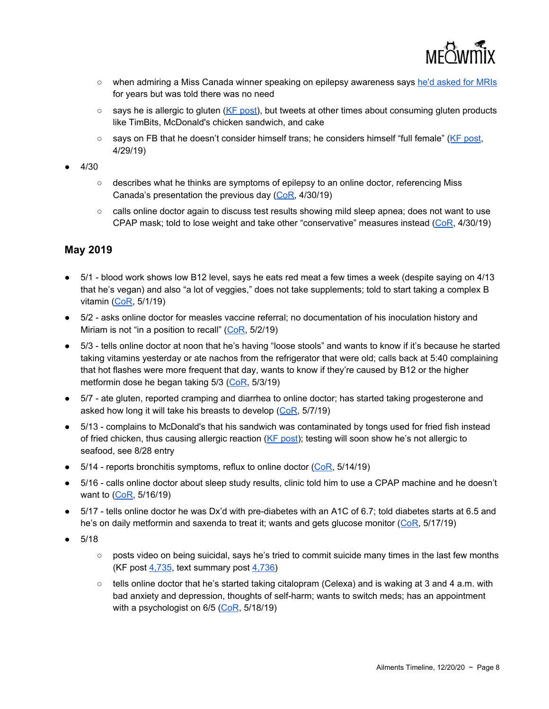

- when admiring a Miss Canada winner speaking on epilepsy awareness says he'd [asked](https://kiwifarms.net/threads/jonathan-yaniv-jessica-yaniv-trustednerd-trustednerd-com-jy-knows-it-jy-british-columbia.49790/post-4639144) for MRIs for years but was told there was no need
- $\circ$  says he is allergic to gluten (KF [post](https://kiwifarms.net/threads/jonathan-yaniv-jessica-yaniv-trustednerd-trustednerd-com-jy-knows-it-jy-british-columbia.49790/post-4638564)), but tweets at other times about consuming gluten products like TimBits, McDonald's chicken sandwich, and cake
- says on FB that he doesn't consider himself trans; he considers himself "full female" (KF [post](https://kiwifarms.net/threads/jonathan-yaniv-jessica-yaniv-trustednerd-trustednerd-com-jy-knows-it-jy-british-columbia.49790/post-4638914), 4/29/19)
- 4/30
	- describes what he thinks are symptoms of epilepsy to an online doctor, referencing Miss Canada's presentation the previous day [\(CoR](https://meowmix.org/?mdocs-file=6753), 4/30/19)
	- calls online doctor again to discuss test results showing mild sleep apnea; does not want to use CPAP mask; told to lose weight and take other "conservative" measures instead [\(CoR,](https://meowmix.org/?mdocs-file=6753) 4/30/19)

#### **May 2019**

- $\bullet$  5/1 blood work shows low B12 level, says he eats red meat a few times a week (despite saying on 4/13 that he's vegan) and also "a lot of veggies," does not take supplements; told to start taking a complex B vitamin ([CoR,](https://meowmix.org/?mdocs-file=6753) 5/1/19)
- 5/2 asks online doctor for measles vaccine referral; no documentation of his inoculation history and Miriam is not "in a position to recall"  $(CoR, 5/2/19)$  $(CoR, 5/2/19)$  $(CoR, 5/2/19)$
- 5/3 tells online doctor at noon that he's having "loose stools" and wants to know if it's because he started taking vitamins yesterday or ate nachos from the refrigerator that were old; calls back at 5:40 complaining that hot flashes were more frequent that day, wants to know if they're caused by B12 or the higher metformin dose he began taking 5/3 ([CoR](https://meowmix.org/?mdocs-file=6753), 5/3/19)
- 5/7 ate gluten, reported cramping and diarrhea to online doctor; has started taking progesterone and asked how long it will take his breasts to develop ([CoR,](https://meowmix.org/?mdocs-file=6753) 5/7/19)
- 5/13 complains to McDonald's that his sandwich was contaminated by tongs used for fried fish instead of fried chicken, thus causing allergic reaction (KF [post](https://kiwifarms.net/threads/jonathan-yaniv-jessica-yaniv-trustednerd-trustednerd-com-jy-knows-it-jy-british-columbia.49790/post-4699780)); testing will soon show he's not allergic to seafood, see 8/28 entry
- $\bullet$  5/14 reports bronchitis symptoms, reflux to online doctor [\(CoR](https://meowmix.org/?mdocs-file=6753), 5/14/19)
- 5/16 calls online doctor about sleep study results, clinic told him to use a CPAP machine and he doesn't want to [\(CoR](https://meowmix.org/?mdocs-file=6753), 5/16/19)
- 5/17 tells online doctor he was Dx'd with pre-diabetes with an A1C of 6.7; told diabetes starts at 6.5 and he's on daily metformin and saxenda to treat it; wants and gets glucose monitor ([CoR](https://meowmix.org/?mdocs-file=6753), 5/17/19)
- 5/18
	- posts video on being suicidal, says he's tried to commit suicide many times in the last few months (KF post [4,735](https://kiwifarms.net/threads/jonathan-yaniv-jessica-yaniv-trustednerd-trustednerd-com-jy-knows-it-jy-british-columbia.49790/post-4724715), text summary post [4,736\)](https://kiwifarms.net/threads/jonathan-yaniv-jessica-yaniv-trustednerd-trustednerd-com-jy-knows-it-jy-british-columbia.49790/post-4724746)
	- $\circ$  tells online doctor that he's started taking citalopram (Celexa) and is waking at 3 and 4 a.m. with bad anxiety and depression, thoughts of self-harm; wants to switch meds; has an appointment with a psychologist on 6/5 ([CoR](https://meowmix.org/?mdocs-file=6753), 5/18/19)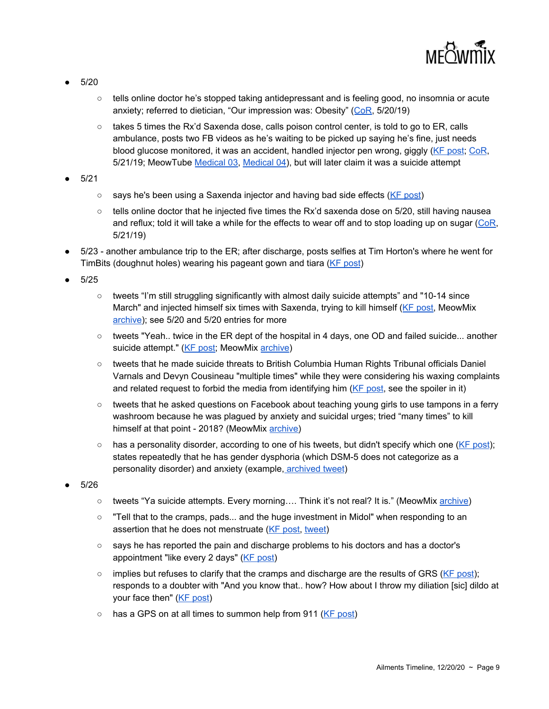

- 5/20
	- tells online doctor he's stopped taking antidepressant and is feeling good, no insomnia or acute anxiety; referred to dietician, "Our impression was: Obesity" ([CoR,](https://meowmix.org/?mdocs-file=6753) 5/20/19)
	- $\circ$  takes 5 times the Rx'd Saxenda dose, calls poison control center, is told to go to ER, calls ambulance, posts two FB videos as he's waiting to be picked up saying he's fine, just needs blood glucose monitored, it was an accident, handled injector pen wrong, giggly (KF [post;](https://kiwifarms.net/threads/jonathan-yaniv-jessica-yaniv-trustednerd-trustednerd-com-jy-knows-it-jy-british-columbia.49790/post-4738165) [CoR](https://meowmix.org/?mdocs-file=6753), 5/21/19; MeowTube [Medical](https://www.meowtube.org/videos/Medical/med03.mp4) 03, [Medical](https://www.meowtube.org/videos/Medical/med04.mp4) 04), but will later claim it was a suicide attempt
- 5/21
	- says he's been using a Saxenda injector and having bad side effects (KF [post\)](https://kiwifarms.net/threads/jonathan-yaniv-jessica-yaniv-trustednerd-trustednerd-com-jy-knows-it-jy-british-columbia.49790/post-4738165)
	- $\circ$  tells online doctor that he injected five times the Rx'd saxenda dose on 5/20, still having nausea and reflux; told it will take a while for the effects to wear off and to stop loading up on sugar [\(CoR,](https://meowmix.org/?mdocs-file=6753) 5/21/19)
- 5/23 another ambulance trip to the ER; after discharge, posts selfies at Tim Horton's where he went for TimBits (doughnut holes) wearing his pageant gown and tiara (KF [post](https://kiwifarms.net/threads/jonathan-yaniv-jessica-yaniv-trustednerd-trustednerd-com-jy-knows-it-jy-british-columbia.49790/page-249#post-4748221))
- $5/25$ 
	- tweets "I'm still struggling significantly with almost daily suicide attempts" and "10-14 since March" and injected himself six times with Saxenda, trying to kill himself (KF [post,](https://kiwifarms.net/threads/jonathan-yaniv-jessica-yaniv-trustednerd-trustednerd-com-jy-knows-it-jy-british-columbia.49790/post-4756788) MeowMix [archive](https://archive.fo/wip/YrOms)); see 5/20 and 5/20 entries for more
	- tweets "Yeah.. twice in the ER dept of the hospital in 4 days, one OD and failed suicide... another suicide attempt." (KF [post](https://kiwifarms.net/threads/jonathan-yaniv-jessica-yaniv-trustednerd-trustednerd-com-jy-knows-it-jy-british-columbia.49790/post-4755593); MeowMix [archive](https://archive.fo/wip/YrOms))
	- tweets that he made suicide threats to British Columbia Human Rights Tribunal officials Daniel Varnals and Devyn Cousineau "multiple times" while they were considering his waxing complaints and related request to forbid the media from identifying him  $(KF)$  [post,](https://kiwifarms.net/threads/jonathan-yaniv-jessica-yaniv-trustednerd-trustednerd-com-jy-knows-it-jy-british-columbia.49790/post-4756788) see the spoiler in it)
	- tweets that he asked questions on Facebook about teaching young girls to use tampons in a ferry washroom because he was plagued by anxiety and suicidal urges; tried "many times" to kill himself at that point - 2018? (MeowMix [archive\)](https://archive.fo/wip/YrOms)
	- $\circ$  has a personality disorder, according to one of his tweets, but didn't specify which one (KF [post](https://kiwifarms.net/threads/jonathan-yaniv-jessica-yaniv-trustednerd-trustednerd-com-jy-knows-it-jy-british-columbia.49790/post-4756298)); states repeatedly that he has gender dysphoria (which DSM-5 does not categorize as a personality disorder) and anxiety (example, [archived](https://archive.fo/gINWU) tweet)
- 5/26
	- tweets "Ya suicide attempts. Every morning.... Think it's not real? It is." (MeowMix [archive\)](https://archive.fo/wip/YrOms)
	- "Tell that to the cramps, pads... and the huge investment in Midol" when responding to an assertion that he does not menstruate (KF [post](https://kiwifarms.net/threads/jonathan-yaniv-jessica-yaniv-trustednerd-trustednerd-com-jy-knows-it-jy-british-columbia.49790/post-4758781), [tweet\)](https://twitter.com/trustednerd/status/1132687099272916992)
	- says he has reported the pain and discharge problems to his doctors and has a doctor's appointment "like every 2 days" (KF [post\)](https://kiwifarms.net/threads/jonathan-yaniv-jessica-yaniv-trustednerd-trustednerd-com-jy-knows-it-jy-british-columbia.49790/post-4759588)
	- $\circ$  implies but refuses to clarify that the cramps and discharge are the results of GRS (KF [post\)](https://kiwifarms.net/threads/jonathan-yaniv-jessica-yaniv-trustednerd-trustednerd-com-jy-knows-it-jy-british-columbia.49790/post-4759588); responds to a doubter with "And you know that.. how? How about I throw my diliation [sic] dildo at your face then" (KF [post](https://kiwifarms.net/threads/jonathan-yaniv-jessica-yaniv-trustednerd-trustednerd-com-jy-knows-it-jy-british-columbia.49790/post-4759667))
	- has a GPS on at all times to summon help from 911 (KF [post](https://kiwifarms.net/threads/jonathan-yaniv-jessica-yaniv-trustednerd-trustednerd-com-jy-knows-it-jy-british-columbia.49790/post-4759588))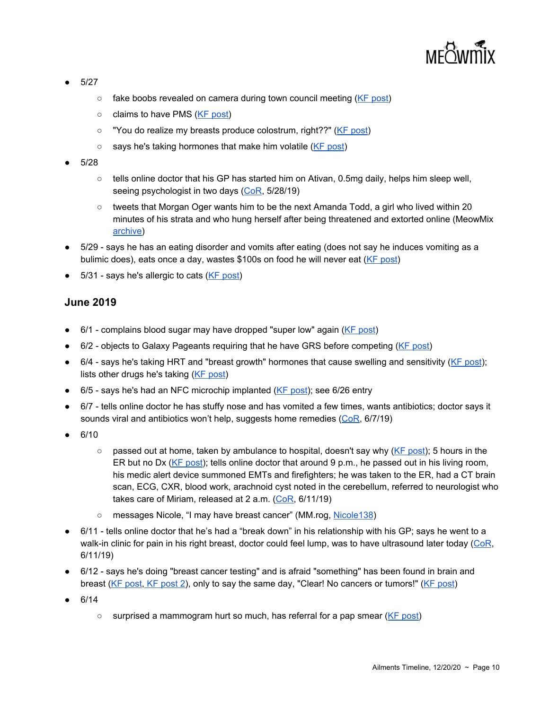

- 5/27
	- fake boobs revealed on camera during town council meeting (KF [post\)](https://kiwifarms.net/threads/jonathan-yaniv-jessica-yaniv-trustednerd-trustednerd-com-jy-knows-it-jy-british-columbia.49790/post-4764926)
	- claims to have PMS (KF [post\)](https://kiwifarms.net/threads/jonathan-yaniv-jessica-yaniv-trustednerd-trustednerd-com-jy-knows-it-jy-british-columbia.49790/post-4761029)
	- "You do realize my breasts produce colostrum, right??" (KF [post](https://kiwifarms.net/threads/jonathan-yaniv-jessica-yaniv-trustednerd-trustednerd-com-jy-knows-it-jy-british-columbia.49790/post-4761029))
	- says he's taking hormones that make him volatile (KF [post](https://kiwifarms.net/threads/jonathan-yaniv-jessica-yaniv-trustednerd-trustednerd-com-jy-knows-it-jy-british-columbia.49790/post-4759938))
- 5/28
	- $\circ$  tells online doctor that his GP has started him on Ativan, 0.5mg daily, helps him sleep well, seeing psychologist in two days [\(CoR](https://meowmix.org/?mdocs-file=6753), 5/28/19)
	- tweets that Morgan Oger wants him to be the next Amanda Todd, a girl who lived within 20 minutes of his strata and who hung herself after being threatened and extorted online (MeowMix [archive](https://archive.fo/wip/YrOms))
- 5/29 says he has an eating disorder and vomits after eating (does not say he induces vomiting as a bulimic does), eats once a day, wastes \$100s on food he will never eat (KF [post](https://kiwifarms.net/threads/jonathan-yaniv-jessica-yaniv-trustednerd-trustednerd-com-jy-knows-it-jy-british-columbia.49790/post-4771657))
- 5/31 says he's allergic to cats (KF [post\)](https://kiwifarms.net/threads/jonathan-yaniv-jessica-yaniv-trustednerd-trustednerd-com-jy-knows-it-jy-british-columbia.49790/post-4779452)

#### **June 2019**

- 6/1 complains blood sugar may have dropped "super low" again (KF [post](https://kiwifarms.net/threads/jonathan-yaniv-jessica-yaniv-trustednerd-trustednerd-com-jy-knows-it-jy-british-columbia.49790/post-4786672))
- $6/2$  objects to Galaxy Pageants requiring that he have GRS before competing (KF [post\)](https://kiwifarms.net/threads/jonathan-yaniv-jessica-yaniv-trustednerd-trustednerd-com-jy-knows-it-jy-british-columbia.49790/post-4792716)
- 6/4 says he's taking HRT and "breast growth" hormones that cause swelling and sensitivity (KF [post](https://kiwifarms.net/threads/jonathan-yaniv-jessica-yaniv-trustednerd-trustednerd-com-jy-knows-it-jy-british-columbia.49790/post-4797625)); lists other drugs he's taking (KF [post](https://kiwifarms.net/threads/jonathan-yaniv-jessica-yaniv-trustednerd-trustednerd-com-jy-knows-it-jy-british-columbia.49790/post-4797625))
- 6/5 says he's had an NFC microchip implanted (KF [post](https://kiwifarms.net/threads/jonathan-yaniv-jessica-yaniv-trustednerd-trustednerd-com-jy-knows-it-jy-british-columbia.49790/post-4803681)); see 6/26 entry
- 6/7 tells online doctor he has stuffy nose and has vomited a few times, wants antibiotics; doctor says it sounds viral and antibiotics won't help, suggests home remedies [\(CoR](https://meowmix.org/?mdocs-file=6753), 6/7/19)
- 6/10
	- $\circ$  passed out at home, taken by ambulance to hospital, doesn't say why (KF [post](https://kiwifarms.net/threads/jonathan-yaniv-jessica-yaniv-trustednerd-trustednerd-com-jy-knows-it-jy-british-columbia.49790/post-4833503)); 5 hours in the ER but no Dx (KF [post](https://kiwifarms.net/threads/jonathan-yaniv-jessica-yaniv-trustednerd-trustednerd-com-jy-knows-it-jy-british-columbia.49790/post-4837118)); tells online doctor that around 9 p.m., he passed out in his living room, his medic alert device summoned EMTs and firefighters; he was taken to the ER, had a CT brain scan, ECG, CXR, blood work, arachnoid cyst noted in the cerebellum, referred to neurologist who takes care of Miriam, released at  $2$  a.m. ([CoR,](https://meowmix.org/?mdocs-file=6753) 6/11/19)
	- messages Nicole, "I may have breast cancer" (MM.rog, [Nicole138](https://meowtube.org/images/index.php?sfpg=VmljdGltX1N0b3JpZXMvTmljb2xlLyoqYmU1Zjk4NGJmYzhiNGNhNjhiMTIwMmE0ZDEwOTU1NGYzNTUwNjhhZjEwMWM3MTczZTVhZGZjZjBkYzcyNDljZA))
- 6/11 tells online doctor that he's had a "break down" in his relationship with his GP; says he went to a walk-in clinic for pain in his right breast, doctor could feel lump, was to have ultrasound later today ([CoR](https://meowmix.org/?mdocs-file=6753), 6/11/19)
- 6/12 says he's doing "breast cancer testing" and is afraid "something" has been found in brain and breast (KF [post](https://kiwifarms.net/threads/jonathan-yaniv-jessica-yaniv-trustednerd-trustednerd-com-jy-knows-it-jy-british-columbia.49790/post-4839439), KF post 2), only to say the same day, "Clear! No cancers or tumors!" (KF post)
- 6/14
	- surprised a mammogram hurt so much, has referral for a pap smear (KF [post](https://kiwifarms.net/threads/jonathan-yaniv-jessica-yaniv-trustednerd-trustednerd-com-jy-knows-it-jy-british-columbia.49790/post-4849331))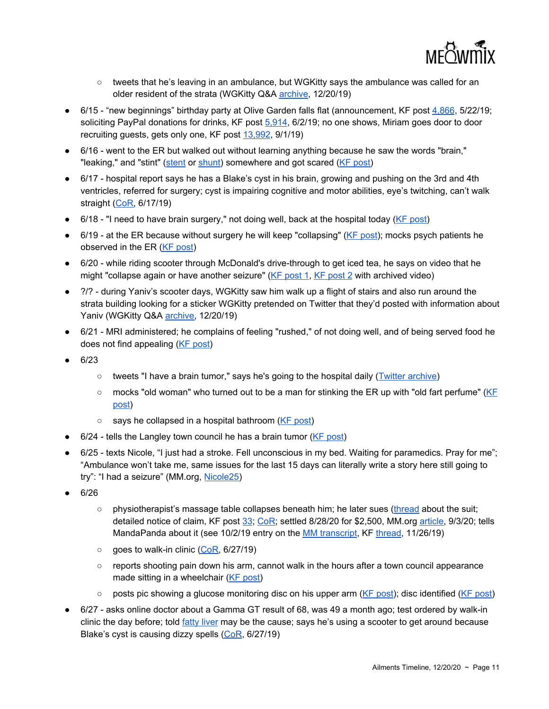

- tweets that he's leaving in an ambulance, but WGKitty says the ambulance was called for an older resident of the strata (WGKitty Q&A [archive,](http://archive.li/lAaCq) 12/20/19)
- 6/15 "new beginnings" birthday party at Olive Garden falls flat (announcement, KF post [4,866](https://kiwifarms.net/threads/jonathan-yaniv-jessica-yaniv-trustednerd-trustednerd-com-jy-knows-it-jy-british-columbia.49790/post-4741794), 5/22/19; soliciting PayPal donations for drinks, KF post  $5,914, 6/2/19$  $5,914, 6/2/19$ ; no one shows, Miriam goes door to door recruiting guests, gets only one, KF post [13,992,](https://kiwifarms.net/threads/jonathan-yaniv-jessica-yaniv-trustednerd-trustednerd-com-jy-knows-it-jy-british-columbia.49790/post-5265121) 9/1/19)
- 6/16 went to the ER but walked out without learning anything because he saw the words "brain," "leaking," and "stint" [\(stent](https://news.weill.cornell.edu/news/2017/03/venous-stenting-procedure-found-to-improve-head-pressure-and-vision-loss) or [shunt\)](https://www.healthline.com/health/ventriculoperitoneal-shunt) somewhere and got scared (KF [post](https://kiwifarms.net/threads/jonathan-yaniv-jessica-yaniv-trustednerd-trustednerd-com-jy-knows-it-jy-british-columbia.49790/post-4857563))
- 6/17 hospital report says he has a Blake's cyst in his brain, growing and pushing on the 3rd and 4th ventricles, referred for surgery; cyst is impairing cognitive and motor abilities, eye's twitching, can't walk straight ([CoR,](https://meowmix.org/?mdocs-file=6753) 6/17/19)
- $\bullet$  6/18 "I need to have brain surgery," not doing well, back at the hospital today (KF [post](https://kiwifarms.net/threads/jonathan-yaniv-jessica-yaniv-trustednerd-trustednerd-com-jy-knows-it-jy-british-columbia.49790/post-4868148))
- 6/19 at the ER because without surgery he will keep "collapsing" (KF [post](https://kiwifarms.net/threads/jonathan-yaniv-jessica-yaniv-trustednerd-trustednerd-com-jy-knows-it-jy-british-columbia.49790/post-4873784)); mocks psych patients he observed in the ER (KF [post](https://kiwifarms.net/threads/jonathan-yaniv-jessica-yaniv-trustednerd-trustednerd-com-jy-knows-it-jy-british-columbia.49790/post-4873784))
- 6/20 while riding scooter through McDonald's drive-through to get iced tea, he says on video that he might "collapse again or have another seizure" ( $KF$  [post](https://streamable.com/4n0rf) 1,  $KF$  post 2 with archived video)
- 2/? during Yaniv's scooter days, WGKitty saw him walk up a flight of stairs and also run around the strata building looking for a sticker WGKitty pretended on Twitter that they'd posted with information about Yaniv (WGKitty Q&A [archive,](http://archive.li/lAaCq) 12/20/19)
- 6/21 MRI administered; he complains of feeling "rushed," of not doing well, and of being served food he does not find appealing (KF [post\)](https://kiwifarms.net/threads/jonathan-yaniv-jessica-yaniv-trustednerd-trustednerd-com-jy-knows-it-jy-british-columbia.49790/post-4880135)
- 6/23
	- tweets "I have a brain tumor," says he's going to the hospital daily (Twitter [archive\)](https://archive.li/unBqI)
	- $\circ$  mocks "old woman" who turned out to be a man for stinking the ER up with "old fart perfume" [\(KF](https://kiwifarms.net/threads/jonathan-yaniv-jessica-yaniv-trustednerd-trustednerd-com-jy-knows-it-jy-british-columbia.49790/post-4893803) [post\)](https://kiwifarms.net/threads/jonathan-yaniv-jessica-yaniv-trustednerd-trustednerd-com-jy-knows-it-jy-british-columbia.49790/post-4893803)
	- says he collapsed in a hospital bathroom (KF [post](https://kiwifarms.net/threads/jonathan-yaniv-jessica-yaniv-trustednerd-trustednerd-com-jy-knows-it-jy-british-columbia.49790/post-4893803))
- $\bullet$  6/24 tells the Langley town council he has a brain tumor (KF [post](https://kiwifarms.net/threads/jonathan-yaniv-jessica-yaniv-trustednerd-trustednerd-com-jy-knows-it-jy-british-columbia.49790/post-4896585))
- 6/25 texts Nicole, "I just had a stroke. Fell unconscious in my bed. Waiting for paramedics. Pray for me"; "Ambulance won't take me, same issues for the last 15 days can literally write a story here still going to try": "I had a seizure" (MM.org, [Nicole25\)](https://meowtube.org/images/index.php?sfpg=VmljdGltX1N0b3JpZXMvTmljb2xlLyoqYmU1Zjk4NGJmYzhiNGNhNjhiMTIwMmE0ZDEwOTU1NGYzNTUwNjhhZjEwMWM3MTczZTVhZGZjZjBkYzcyNDljZA)
- 6/26
	- physiotherapist's massage table collapses beneath him; he later sues ([thread](https://kiwifarms.net/threads/jessica-vs-the-physiotherapist-corp.60570/) about the suit; detailed notice of claim, KF post [33](https://kiwifarms.net/threads/jessica-vs-the-physiotherapist-corp.60570/post-5291743); [CoR;](https://meowmix.org/?mdocs-file=6753) settled 8/28/20 for \$2,500, MM.org [article,](https://meowmix.org/yaniv-simpson-vs-amy-hamm-and-the-physiotherapists/) 9/3/20; tells MandaPanda about it (see 10/2/19 entry on the MM [transcript](https://meowmix.org/the-mandapanda-log/), KF [thread,](https://kiwifarms.net/threads/mandapanda-log-leaks.63526/) 11/26/19)
	- $\circ$  goes to walk-in clinic ([CoR,](https://meowmix.org/?mdocs-file=6753) 6/27/19)
	- reports shooting pain down his arm, cannot walk in the hours after a town council appearance made sitting in a wheelchair (KF [post\)](https://kiwifarms.net/threads/jonathan-yaniv-jessica-yaniv-trustednerd-trustednerd-com-jy-knows-it-jy-british-columbia.49790/post-4897273)
	- o posts pic showing a glucose monitoring disc on his upper arm (KF [post\)](https://kiwifarms.net/threads/jonathan-yaniv-jessica-yaniv-trustednerd-trustednerd-com-jy-knows-it-jy-british-columbia.49790/post-4906487); disc identified (KF post)
- 6/27 asks online doctor about a Gamma GT result of 68, was 49 a month ago; test ordered by walk-in clinic the day before; told [fatty](https://www.healthline.com/nutrition/fatty-liver) liver may be the cause; says he's using a scooter to get around because Blake's cyst is causing dizzy spells ([CoR,](https://meowmix.org/?mdocs-file=6753) 6/27/19)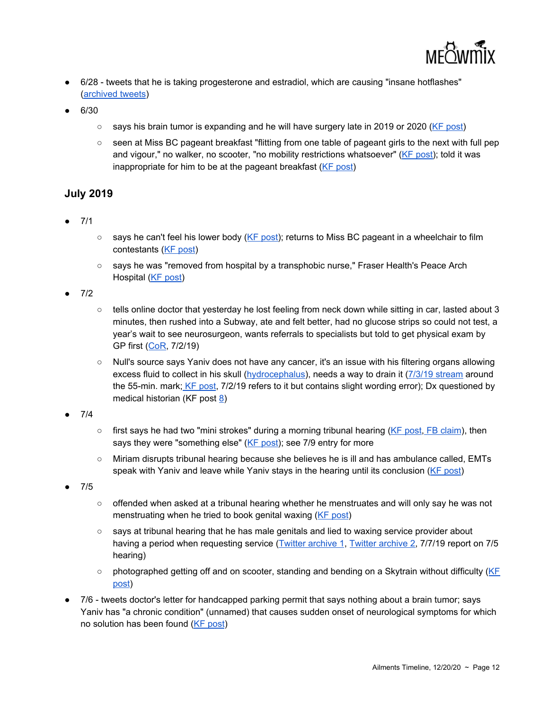

- 6/28 tweets that he is taking progesterone and estradiol, which are causing "insane hotflashes" [\(archived](https://archive.fo/O9Hn6) tweets)
- $6/30$ 
	- says his brain tumor is expanding and he will have surgery late in 2019 or 2020 (KF [post\)](https://kiwifarms.net/threads/jonathan-yaniv-jessica-yaniv-trustednerd-trustednerd-com-jy-knows-it-jy-british-columbia.49790/post-4926494)
	- seen at Miss BC pageant breakfast "flitting from one table of pageant girls to the next with full pep and vigour," no walker, no scooter, "no mobility restrictions whatsoever" (KF [post\)](https://kiwifarms.net/threads/jonathan-yaniv-jessica-yaniv-trustednerd-trustednerd-com-jy-knows-it-jy-british-columbia.49790/post-4966051); told it was inappropriate for him to be at the pageant breakfast (KF [post\)](https://kiwifarms.net/threads/jonathan-yaniv-jessica-yaniv-trustednerd-trustednerd-com-jy-knows-it-jy-british-columbia.49790/post-4930214)

#### **July 2019**

- 7/1
- says he can't feel his lower body (KF [post](https://kiwifarms.net/threads/jonathan-yaniv-jessica-yaniv-trustednerd-trustednerd-com-jy-knows-it-jy-british-columbia.49790/post-4934172)); returns to Miss BC pageant in a wheelchair to film contestants (KF [post\)](https://kiwifarms.net/threads/jonathan-yaniv-jessica-yaniv-trustednerd-trustednerd-com-jy-knows-it-jy-british-columbia.49790/post-4933858)
- says he was "removed from hospital by a transphobic nurse," Fraser Health's Peace Arch Hospital (KF [post](https://kiwifarms.net/threads/jonathan-yaniv-jessica-yaniv-trustednerd-trustednerd-com-jy-knows-it-jy-british-columbia.49790/post-4931905))

● 7/2

- tells online doctor that yesterday he lost feeling from neck down while sitting in car, lasted about 3 minutes, then rushed into a Subway, ate and felt better, had no glucose strips so could not test, a year's wait to see neurosurgeon, wants referrals to specialists but told to get physical exam by GP first ([CoR](https://meowmix.org/?mdocs-file=6753), 7/2/19)
- Null's source says Yaniv does not have any cancer, it's an issue with his filtering organs allowing excess fluid to collect in his skull [\(hydrocephalus](https://www.aans.org/Patients/Neurosurgical-Conditions-and-Treatments/Adult-Onset-Hydrocephalus?formid=124)), needs a way to drain it (7/3/19 [stream](https://www.bitchute.com/video/LXQnjQXHoPZ9/) around the 55-min. mark; KF [post,](https://kiwifarms.net/threads/jonathan-yaniv-jessica-yaniv-trustednerd-trustednerd-com-jy-knows-it-jy-british-columbia.49790/post-4935226) 7/2/19 refers to it but contains slight wording error); Dx questioned by medical historian (KF post  $8$ )
- 7/4
	- $\circ$  first says he had two "mini strokes" during a morning tribunal hearing (KF [post](https://kiwifarms.net/threads/jonathan-yaniv-jessica-yaniv-trustednerd-trustednerd-com-jy-knows-it-jy-british-columbia.49790/post-4946909), FB [claim](https://kiwifarms.net/attachments/nope-png.827663/)), then says they were "something else" (KF [post](https://kiwifarms.net/threads/jonathan-yaniv-jessica-yaniv-trustednerd-trustednerd-com-jy-knows-it-jy-british-columbia.49790/post-4948449)); see 7/9 entry for more
	- Miriam disrupts tribunal hearing because she believes he is ill and has ambulance called, EMTs speak with Yaniv and leave while Yaniv stays in the hearing until its conclusion (KF [post](https://kiwifarms.net/threads/jonathan-yaniv-jessica-yaniv-trustednerd-trustednerd-com-jy-knows-it-jy-british-columbia.49790/post-4953561))
- 7/5
- offended when asked at a tribunal hearing whether he menstruates and will only say he was not menstruating when he tried to book genital waxing (KF [post](https://kiwifarms.net/threads/jonathan-yaniv-jessica-yaniv-trustednerd-trustednerd-com-jy-knows-it-jy-british-columbia.49790/post-4956174))
- says at tribunal hearing that he has male genitals and lied to waxing service provider about having a period when requesting service (Twitter [archive](https://archive.fo/FWX8f) 1[,](https://archive.li/W20L4) Twitter [archive](https://archive.li/W20L4) 2, 7/7/19 report on 7/5 hearing)
- $\circ$  photographed getting off and on scooter, standing and bending on a Skytrain without difficulty ( $KE$ [post\)](https://kiwifarms.net/threads/jonathan-yaniv-jessica-yaniv-trustednerd-trustednerd-com-jy-knows-it-jy-british-columbia.49790/post-4952379)
- 7/6 tweets doctor's letter for handcapped parking permit that says nothing about a brain tumor; says Yaniv has "a chronic condition" (unnamed) that causes sudden onset of neurological symptoms for which no solution has been found (KF [post](https://kiwifarms.net/threads/jonathan-yaniv-jessica-yaniv-trustednerd-trustednerd-com-jy-knows-it-jy-british-columbia.49790/post-4954886))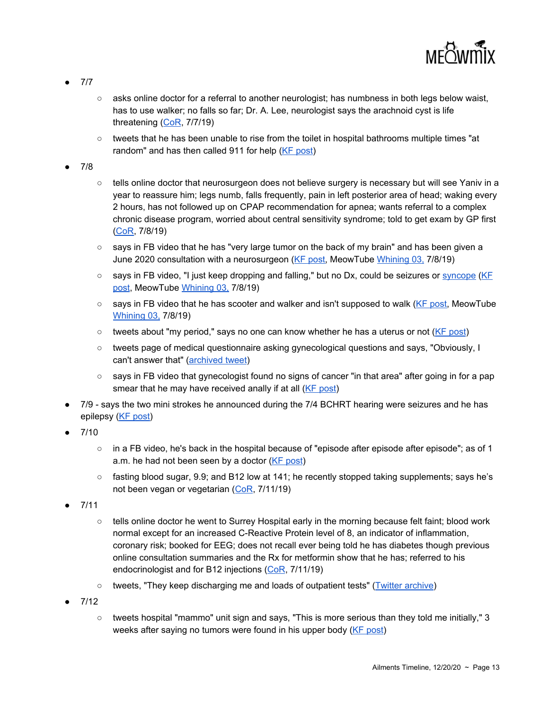

- 7/7
- asks online doctor for a referral to another neurologist; has numbness in both legs below waist, has to use walker; no falls so far; Dr. A. Lee, neurologist says the arachnoid cyst is life threatening [\(CoR](https://meowmix.org/?mdocs-file=6753), 7/7/19)
- tweets that he has been unable to rise from the toilet in hospital bathrooms multiple times "at random" and has then called 911 for help (KF [post](https://kiwifarms.net/threads/jonathan-yaniv-jessica-yaniv-trustednerd-trustednerd-com-jy-knows-it-jy-british-columbia.49790/post-4958242))
- 7/8
- tells online doctor that neurosurgeon does not believe surgery is necessary but will see Yaniv in a year to reassure him; legs numb, falls frequently, pain in left posterior area of head; waking every 2 hours, has not followed up on CPAP recommendation for apnea; wants referral to a complex chronic disease program, worried about central sensitivity syndrome; told to get exam by GP first [\(CoR](https://meowmix.org/?mdocs-file=6753), 7/8/19)
- $\circ$  says in FB video that he has "very large tumor on the back of my brain" and has been given a June 2020 consultation with a neurosurgeon (KF [post,](https://kiwifarms.net/threads/jonathan-yaniv-jessica-yaniv-trustednerd-trustednerd-com-jy-knows-it-jy-british-columbia.49790/post-4963048) MeowTube [Whining](https://www.meowtube.org/videos/Whining/whine3.mp4) 03, 7/8/19)
- says in FB video, "I just keep dropping and falling," but no Dx, could be seizures or [syncope](https://www.heart.org/en/health-topics/arrhythmia/symptoms-diagnosis--monitoring-of-arrhythmia/syncope-fainting) [\(KF](https://kiwifarms.net/threads/jonathan-yaniv-jessica-yaniv-trustednerd-trustednerd-com-jy-knows-it-jy-british-columbia.49790/post-4963048) [post,](https://kiwifarms.net/threads/jonathan-yaniv-jessica-yaniv-trustednerd-trustednerd-com-jy-knows-it-jy-british-columbia.49790/post-4963048) MeowTube [Whining](https://www.meowtube.org/videos/Whining/whine3.mp4) 03, 7/8/19)
- says in FB video that he has scooter and walker and isn't supposed to walk (KF [post,](https://kiwifarms.net/threads/jonathan-yaniv-jessica-yaniv-trustednerd-trustednerd-com-jy-knows-it-jy-british-columbia.49790/post-4963048) MeowTube [Whining](https://www.meowtube.org/videos/Whining/whine3.mp4) 03, 7/8/19)
- $\circ$  tweets about "my period," says no one can know whether he has a uterus or not (KF [post\)](https://kiwifarms.net/threads/jonathan-yaniv-jessica-yaniv-trustednerd-trustednerd-com-jy-knows-it-jy-british-columbia.49790/post-4962149)
- tweets page of medical questionnaire asking gynecological questions and says, "Obviously, I can't answer that" ([archived](https://web.archive.org/web/20190708171316/https:/twitter.com/trustednerd/status/1148275347646844929) tweet)
- says in FB video that gynecologist found no signs of cancer "in that area" after going in for a pap smear that he may have received anally if at all (KF [post\)](https://kiwifarms.net/threads/jonathan-yaniv-jessica-yaniv-trustednerd-trustednerd-com-jy-knows-it-jy-british-columbia.49790/post-4963048)
- 7/9 says the two mini strokes he announced during the 7/4 BCHRT hearing were seizures and he has epilepsy (KF [post](https://kiwifarms.net/threads/jonathan-yaniv-jessica-yaniv-trustednerd-trustednerd-com-jy-knows-it-jy-british-columbia.49790/post-4970459))
- 7/10
	- $\circ$  in a FB video, he's back in the hospital because of "episode after episode after episode"; as of 1 a.m. he had not been seen by a doctor (KF [post\)](https://kiwifarms.net/threads/jonathan-yaniv-jessica-yaniv-trustednerd-trustednerd-com-jy-knows-it-jy-british-columbia.49790/post-4981139)
	- fasting blood sugar, 9.9; and B12 low at 141; he recently stopped taking supplements; says he's not been vegan or vegetarian [\(CoR](https://meowmix.org/?mdocs-file=6753), 7/11/19)
- $7/11$ 
	- tells online doctor he went to Surrey Hospital early in the morning because felt faint; blood work normal except for an increased C-Reactive Protein level of 8, an indicator of inflammation, coronary risk; booked for EEG; does not recall ever being told he has diabetes though previous online consultation summaries and the Rx for metformin show that he has; referred to his endocrinologist and for B12 injections [\(CoR](https://meowmix.org/?mdocs-file=6753), 7/11/19)
	- tweets, "They keep discharging me and loads of outpatient tests" (Twitter [archive\)](https://archive.fo/d7ajw)
- 7/12
	- $\circ$  tweets hospital "mammo" unit sign and says, "This is more serious than they told me initially," 3 weeks after saying no tumors were found in his upper body (KF [post\)](https://kiwifarms.net/threads/jonathan-yaniv-jessica-yaniv-trustednerd-trustednerd-com-jy-knows-it-jy-british-columbia.49790/post-4937836)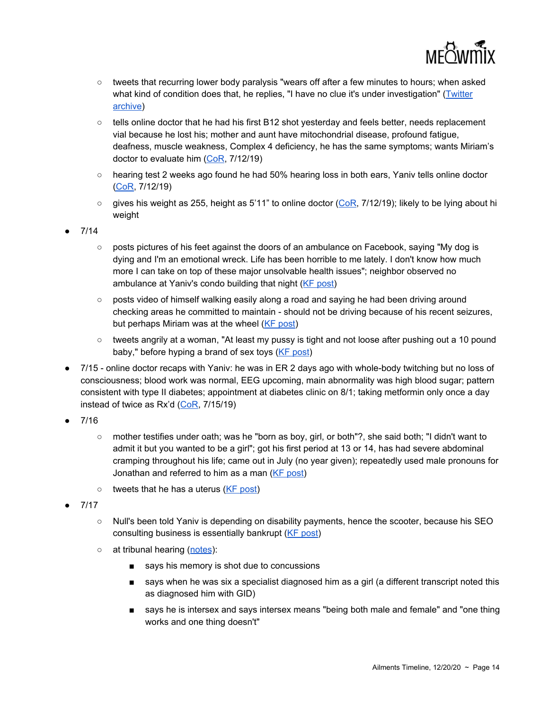

- tweets that recurring lower body paralysis "wears off after a few minutes to hours; when asked what kind of condition does that, he replies, "I have no clue it's under investigation" [\(Twitter](https://archive.li/9k372) [archive](https://archive.li/9k372))
- tells online doctor that he had his first B12 shot yesterday and feels better, needs replacement vial because he lost his; mother and aunt have mitochondrial disease, profound fatigue, deafness, muscle weakness, Complex 4 deficiency, he has the same symptoms; wants Miriam's doctor to evaluate him [\(CoR](https://meowmix.org/?mdocs-file=6753), 7/12/19)
- hearing test 2 weeks ago found he had 50% hearing loss in both ears, Yaniv tells online doctor [\(CoR](https://meowmix.org/?mdocs-file=6753), 7/12/19)
- $\circ$  gives his weight as 255, height as 5'11" to online doctor ([CoR,](https://meowmix.org/?mdocs-file=6753) 7/12/19); likely to be lying about hi weight

● 7/14

- posts pictures of his feet against the doors of an ambulance on Facebook, saying "My dog is dying and I'm an emotional wreck. Life has been horrible to me lately. I don't know how much more I can take on top of these major unsolvable health issues"; neighbor observed no ambulance at Yaniv's condo building that night (KF [post\)](https://kiwifarms.net/threads/jonathan-yaniv-jessica-yaniv-trustednerd-trustednerd-com-jy-knows-it-jy-british-columbia.49790/post-4995769)
- posts video of himself walking easily along a road and saying he had been driving around checking areas he committed to maintain - should not be driving because of his recent seizures, but perhaps Miriam was at the wheel (KF [post](https://kiwifarms.net/threads/jonathan-yaniv-jessica-yaniv-trustednerd-trustednerd-com-jy-knows-it-jy-british-columbia.49790/post-4998461))
- tweets angrily at a woman, "At least my pussy is tight and not loose after pushing out a 10 pound baby," before hyping a brand of sex toys (KF [post](https://kiwifarms.net/threads/jonathan-yaniv-jessica-yaniv-trustednerd-trustednerd-com-jy-knows-it-jy-british-columbia.49790/post-4999946))
- 7/15 online doctor recaps with Yaniv: he was in ER 2 days ago with whole-body twitching but no loss of consciousness; blood work was normal, EEG upcoming, main abnormality was high blood sugar; pattern consistent with type II diabetes; appointment at diabetes clinic on 8/1; taking metformin only once a day instead of twice as Rx'd [\(CoR](https://meowmix.org/?mdocs-file=6753), 7/15/19)
- 7/16
	- mother testifies under oath; was he "born as boy, girl, or both"?, she said both; "I didn't want to admit it but you wanted to be a girl"; got his first period at 13 or 14, has had severe abdominal cramping throughout his life; came out in July (no year given); repeatedly used male pronouns for Jonathan and referred to him as a man (KF [post\)](https://kiwifarms.net/threads/jonathan-yaniv-jessica-yaniv-trustednerd-trustednerd-com-jy-knows-it-jy-british-columbia.49790/post-5014073)
	- $\circ$  tweets that he has a uterus (KF [post](https://kiwifarms.net/threads/jonathan-yaniv-jessica-yaniv-trustednerd-trustednerd-com-jy-knows-it-jy-british-columbia.49790/post-5013866))
- 7/17
	- Null's been told Yaniv is depending on disability payments, hence the scooter, because his SEO consulting business is essentially bankrupt (KF [post\)](https://kiwifarms.net/threads/jonathan-yaniv-jessica-yaniv-trustednerd-trustednerd-com-jy-knows-it-jy-british-columbia.49790/post-5015355)
	- o at tribunal hearing [\(notes](https://archive.li/QQtQn#selection-3911.0-3915.68)):
		- says his memory is shot due to concussions
		- says when he was six a specialist diagnosed him as a girl (a different transcript noted this as diagnosed him with GID)
		- says he is intersex and says intersex means "being both male and female" and "one thing works and one thing doesn't"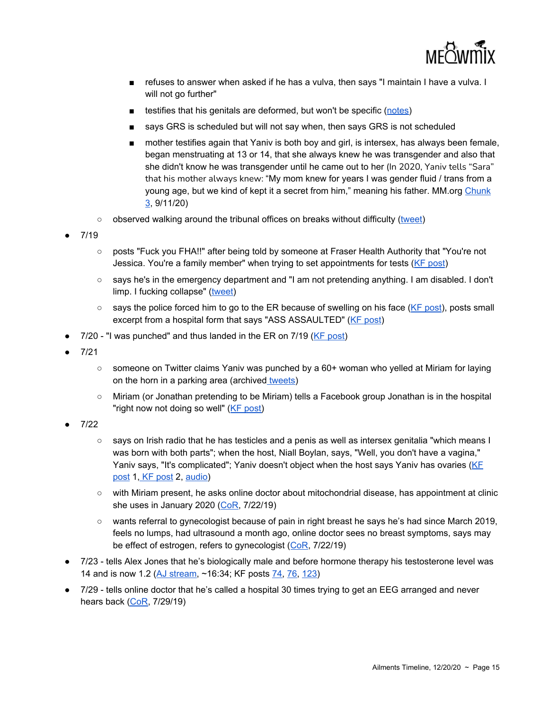

- refuses to answer when asked if he has a vulva, then says "I maintain I have a vulva. I will not go further"
- testifies that his genitals are deformed, but won't be specific ([notes](https://archive.li/CumI2))
- says GRS is scheduled but will not say when, then says GRS is not scheduled
- mother testifies again that Yaniv is both boy and girl, is intersex, has always been female, began menstruating at 13 or 14, that she always knew he was transgender and also that she didn't know he was transgender until he came out to her (In 2020, Yaniv tells "Sara" that his mother always knew: "My mom knew for years I was gender fluid / trans from a young age, but we kind of kept it a secret from him," meaning his father. MM.org [Chunk](https://www.meowtube.org/videos/Sara/3-SaraJYChat-Jun24-July16.mp4) [3](https://www.meowtube.org/videos/Sara/3-SaraJYChat-Jun24-July16.mp4), 9/11/20)
- $\circ$  observed walking around the tribunal offices on breaks without difficulty [\(tweet](https://archive.fo/XRNL7))
- 7/19
	- posts "Fuck you FHA!!" after being told by someone at Fraser Health Authority that "You're not Jessica. You're a family member" when trying to set appointments for tests (KF [post](https://kiwifarms.net/threads/jonathan-yaniv-jessica-yaniv-trustednerd-trustednerd-com-jy-knows-it-jy-british-columbia.49790/post-5028707))
	- says he's in the emergency department and "I am not pretending anything. I am disabled. I don't limp. I fucking collapse" [\(tweet](https://archive.fo/XRNL7))
	- $\circ$  says the police forced him to go to the ER because of swelling on his face (KF [post\)](https://kiwifarms.net/threads/jonathan-yaniv-jessica-yaniv-trustednerd-trustednerd-com-jy-knows-it-jy-british-columbia.49790/post-5032895), posts small excerpt from a hospital form that says "ASS ASSAULTED" (KF [post](https://kiwifarms.net/threads/jonathan-yaniv-jessica-yaniv-trustednerd-trustednerd-com-jy-knows-it-jy-british-columbia.49790/post-5032248))
- $7/20$  "I was punched" and thus landed in the ER on  $7/19$  (KF [post\)](https://kiwifarms.net/threads/jonathan-yaniv-jessica-yaniv-trustednerd-trustednerd-com-jy-knows-it-jy-british-columbia.49790/post-5035931)
- 7/21
	- $\circ$  someone on Twitter claims Yaniv was punched by a 60+ woman who yelled at Miriam for laying on the horn in a parking area (archived [tweets](https://archive.fo/eg9lA))
	- Miriam (or Jonathan pretending to be Miriam) tells a Facebook group Jonathan is in the hospital "right now not doing so well" (KF [post\)](https://kiwifarms.net/threads/jonathan-yaniv-jessica-yaniv-trustednerd-trustednerd-com-jy-knows-it-jy-british-columbia.49790/post-5047264)
- 7/22
	- says on Irish radio that he has testicles and a penis as well as intersex genitalia "which means I was born with both parts"; when the host, Niall Boylan, says, "Well, you don't have a vagina," Yaniv says, "It's complicated"; Yaniv doesn't object when the host says Yaniv has ovaries [\(KF](https://kiwifarms.net/threads/jonathan-yaniv-jessica-yaniv-trustednerd-trustednerd-com-jy-knows-it-jy-british-columbia.49790/post-5044965) [post](https://kiwifarms.net/threads/jonathan-yaniv-jessica-yaniv-trustednerd-trustednerd-com-jy-knows-it-jy-british-columbia.49790/post-5044965) 1, KF [post](https://kiwifarms.net/threads/jonathan-yaniv-jessica-yaniv-trustednerd-trustednerd-com-jy-knows-it-jy-british-columbia.49790/post-5045024) 2, [audio\)](https://omny.fm/shows/the-niall-boylan-show/an-interview-with-jessica-yaniv)
	- with Miriam present, he asks online doctor about mitochondrial disease, has appointment at clinic she uses in January 2020 [\(CoR](https://meowmix.org/?mdocs-file=6753), 7/22/19)
	- wants referral to gynecologist because of pain in right breast he says he's had since March 2019, feels no lumps, had ultrasound a month ago, online doctor sees no breast symptoms, says may be effect of estrogen, refers to gynecologist ([CoR,](https://meowmix.org/?mdocs-file=6753) 7/22/19)
- 7/23 tells Alex Jones that he's biologically male and before hormone therapy his testosterone level was 14 and is now 1.2 (AJ [stream,](https://kiwifarms.net/threads/yanivs-interview-with-alex-jones.58732/) ~16:34; KF posts [74,](https://kiwifarms.net/threads/jonathan-yaniv-jessica-yaniv-trustednerd-trustednerd-com-jy-knows-it-jy-british-columbia.49790/post-5119480) [76,](https://kiwifarms.net/threads/yanivs-interview-with-alex-jones.58732/post-5049331) [123\)](https://kiwifarms.net/threads/yanivs-interview-with-alex-jones.58732/post-5049412)
- 7/29 tells online doctor that he's called a hospital 30 times trying to get an EEG arranged and never hears back [\(CoR](https://meowmix.org/?mdocs-file=6753), 7/29/19)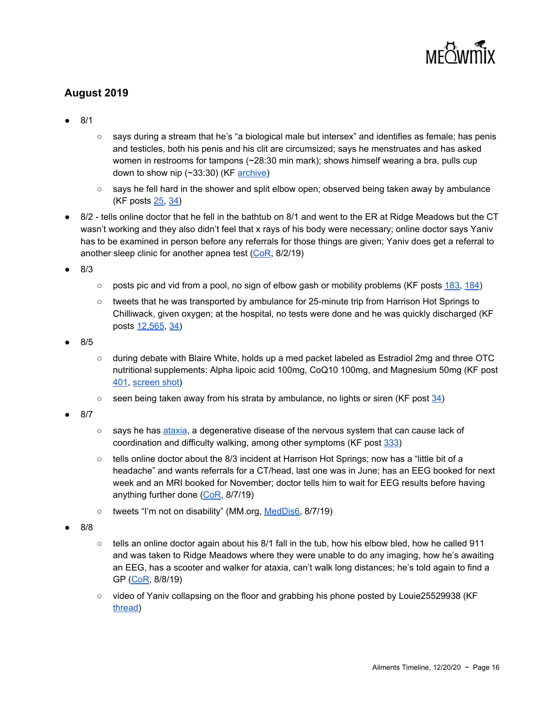

#### **August 2019**

- 8/1
- says during a stream that he's "a biological male but intersex" and identifies as female; has penis and testicles, both his penis and his clit are circumsized; says he menstruates and has asked women in restrooms for tampons (~28:30 min mark); shows himself wearing a bra, pulls cup down to show nip (~33:30) (KF [archive\)](https://kiwifarms.net/attachments/20190731_jonlies-mp4.869823/)
- says he fell hard in the shower and split elbow open; observed being taken away by ambulance (KF posts [25,](https://kiwifarms.net/threads/jys-munchie-saga.58730/post-5103041) [34\)](https://kiwifarms.net/threads/jys-munchie-saga.58730/post-5120396)
- 8/2 tells online doctor that he fell in the bathtub on 8/1 and went to the ER at Ridge Meadows but the CT wasn't working and they also didn't feel that x rays of his body were necessary; online doctor says Yaniv has to be examined in person before any referrals for those things are given; Yaniv does get a referral to another sleep clinic for another apnea test [\(CoR](https://meowmix.org/?mdocs-file=6753), 8/2/19)

● 8/3

- $\circ$  posts pic and vid from a pool, no sign of elbow gash or mobility problems (KF posts  $183, 184$  $183, 184$ )
- tweets that he was transported by ambulance for 25-minute trip from Harrison Hot Springs to Chilliwack, given oxygen; at the hospital, no tests were done and he was quickly discharged (KF posts [12,565](https://kiwifarms.net/threads/jonathan-yaniv-jessica-yaniv-trustednerd-trustednerd-com-jy-knows-it-jy-british-columbia.49790/post-5119480), [34\)](https://kiwifarms.net/threads/jys-munchie-saga.58730/post-5120396)

● 8/5

- during debate with Blaire White, holds up a med packet labeled as Estradiol 2mg and three OTC nutritional supplements: Alpha lipoic acid 100mg, CoQ10 100mg, and Magnesium 50mg (KF post [401](https://kiwifarms.net/threads/blaire-white-vs-jonathan-yaniv.59234/post-5122468), [screen](https://kiwifarms.net/threads/blaire-white-vs-jonathan-yaniv.59234/post-5122570) shot)
- $\circ$  seen being taken away from his strata by ambulance, no lights or siren (KF post  $34$ )
- 8/7
- says he has [ataxia](https://ataxia.org/what-is-ataxia/), a degenerative disease of the nervous system that can cause lack of coordination and difficulty walking, among other symptoms (KF post [333\)](https://kiwifarms.net/threads/jys-tweets-and-other-social-media.58834/post-5131493)
- $\circ$  tells online doctor about the 8/3 incident at Harrison Hot Springs; now has a "little bit of a headache" and wants referrals for a CT/head, last one was in June; has an EEG booked for next week and an MRI booked for November; doctor tells him to wait for EEG results before having anything further done [\(CoR,](https://meowmix.org/?mdocs-file=6753) 8/7/19)
- tweets "I'm not on disability" (MM.org, [MedDis6](https://meowtube.org/images/index.php?sfpg=TWVkaWNhbF9GaWxlL0Rpc2FiaWxpdGllcy8qTWVkRGlzNi5qcGcqYzEwYTIyMDVlNmNmNjQ3ZmUwMDA5NjMwMzUzMjZjMmY0ZjFlNTFmNDVjZGVmMzliYzE5NThiMjkwNzZmMzAwYw), 8/7/19)
- 8/8
- $\circ$  tells an online doctor again about his 8/1 fall in the tub, how his elbow bled, how he called 911 and was taken to Ridge Meadows where they were unable to do any imaging, how he's awaiting an EEG, has a scooter and walker for ataxia, can't walk long distances; he's told again to find a GP [\(CoR](https://meowmix.org/?mdocs-file=6753), 8/8/19)
- video of Yaniv collapsing on the floor and grabbing his phone posted by Louie25529938 (K[F](https://kiwifarms.net/threads/yaniv-collapses-daintily-onto-a-filthy-carpet.59417/) [thread](https://kiwifarms.net/threads/yaniv-collapses-daintily-onto-a-filthy-carpet.59417/))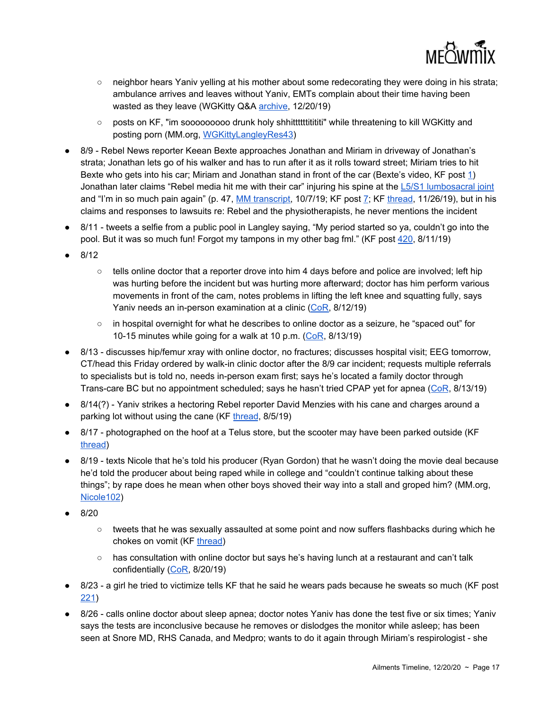

- neighbor hears Yaniv yelling at his mother about some redecorating they were doing in his strata; ambulance arrives and leaves without Yaniv, EMTs complain about their time having been wasted as they leave (WGKitty Q&A [archive,](http://archive.li/lAaCq) 12/20/19)
- posts on KF, "im sooooooooo drunk holy shhitttttititititi" while threatening to kill WGKitty and posting porn (MM.org, [WGKittyLangleyRes43](https://meowtube.org/images/index.php?sfpg=UGVyc29ubmVsX0ZpbGVzL1dHS2l0dHlMYW5nbGV5UmVzaWRlbnQvKldHS2l0dHlMYW5nbGV5UmVzNDMuanBnKmQzNTlkOTEyYjYxZTE1ODk4ZDExNmQ2ZDNiMWJkM2UwYWFjMjk1ZmEwNWY5ZTQyMzQ0NjRjOTZhOGJiYzFlZjM))
- 8/9 Rebel News reporter Keean Bexte approaches Jonathan and Miriam in driveway of Jonathan's strata; Jonathan lets go of his walker and has to run after it as it rolls toward street; Miriam tries to hit Bexte who gets into his car; Miriam and Jonathan stand in front of the car (Bexte's video, KF post [1](https://kiwifarms.net/threads/confrontation-with-reporter-in-yaniv-strata-parking-lot.59456/)) Jonathan later claims "Rebel media hit me with their car" injuring his spine at the L5/S1 [lumbosacral](https://www.spine-health.com/conditions/spine-anatomy/all-about-l5-s1-lumbosacral-joint) joint and "I'm in so much pain again" (p. 47, MM [transcript,](https://meowmix.org/the-mandapanda-log/) 10/7/19; KF post [7](https://kiwifarms.net/threads/miriam-might-have-assaulted-the-rebel.59502/post-5145439); KF [thread](https://kiwifarms.net/threads/mandapanda-log-leaks.63526/), 11/26/19), but in his claims and responses to lawsuits re: Rebel and the physiotherapists, he never mentions the incident
- 8/11 tweets a selfie from a public pool in Langley saying, "My period started so ya, couldn't go into the pool. But it was so much fun! Forgot my tampons in my other bag fml." (KF post [420](https://kiwifarms.net/threads/jys-tweets-and-other-social-media.58834/post-5149953), 8/11/19)
- 8/12
	- $\circ$  tells online doctor that a reporter drove into him 4 days before and police are involved; left hip was hurting before the incident but was hurting more afterward; doctor has him perform various movements in front of the cam, notes problems in lifting the left knee and squatting fully, says Yaniv needs an in-person examination at a clinic [\(CoR,](https://meowmix.org/?mdocs-file=6753) 8/12/19)
	- in hospital overnight for what he describes to online doctor as a seizure, he "spaced out" for 10-15 minutes while going for a walk at 10 p.m. [\(CoR](https://meowmix.org/?mdocs-file=6753), 8/13/19)
- 8/13 discusses hip/femur xray with online doctor, no fractures; discusses hospital visit; EEG tomorrow, CT/head this Friday ordered by walk-in clinic doctor after the 8/9 car incident; requests multiple referrals to specialists but is told no, needs in-person exam first; says he's located a family doctor through Trans-care BC but no appointment scheduled; says he hasn't tried CPAP yet for apnea ([CoR](https://meowmix.org/?mdocs-file=6753), 8/13/19)
- 8/14(?) Yaniv strikes a hectoring Rebel reporter David Menzies with his cane and charges around a parking lot without using the cane (KF [thread](https://kiwifarms.net/threads/8-15-19-rebel-media-yaniv-assaults-a-reporter.59743/), 8/5/19)
- 8/17 photographed on the hoof at a Telus store, but the scooter may have been parked outside (KF [thread](https://kiwifarms.net/threads/public-sightings-of-jy.59828/))
- 8/19 texts Nicole that he's told his producer (Ryan Gordon) that he wasn't doing the movie deal because he'd told the producer about being raped while in college and "couldn't continue talking about these things"; by rape does he mean when other boys shoved their way into a stall and groped him? (MM.org, [Nicole102](https://meowtube.org/images/index.php?sfpg=VmljdGltX1N0b3JpZXMvTmljb2xlLyoqYmU1Zjk4NGJmYzhiNGNhNjhiMTIwMmE0ZDEwOTU1NGYzNTUwNjhhZjEwMWM3MTczZTVhZGZjZjBkYzcyNDljZA))
- 8/20
	- $\circ$  tweets that he was sexually assaulted at some point and now suffers flashbacks during which he chokes on vomit (KF [thread](https://kiwifarms.net/threads/8-20-19-jy-claims-he-was-sexually-assaulted-and-nobody-believes-him.59963/))
	- $\circ$  has consultation with online doctor but says he's having lunch at a restaurant and can't talk confidentially ([CoR,](https://meowmix.org/?mdocs-file=6753) 8/20/19)
- 8/23 a girl he tried to victimize tells KF that he said he wears pads because he sweats so much (KF post [221](https://kiwifarms.net/threads/8-22-19-jessica-rumpel-visits-the-farms.60037/post-5212000))
- 8/26 calls online doctor about sleep apnea; doctor notes Yaniv has done the test five or six times; Yaniv says the tests are inconclusive because he removes or dislodges the monitor while asleep; has been seen at Snore MD, RHS Canada, and Medpro; wants to do it again through Miriam's respirologist - she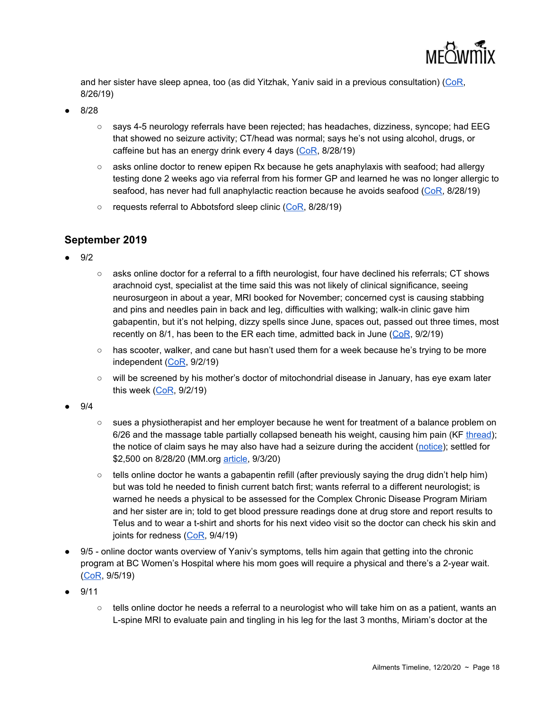

and her sister have sleep apnea, too (as did Yitzhak, Yaniv said in a previous consultation) [\(CoR,](https://meowmix.org/?mdocs-file=6753) 8/26/19)

- 8/28
	- says 4-5 neurology referrals have been rejected; has headaches, dizziness, syncope; had EEG that showed no seizure activity; CT/head was normal; says he's not using alcohol, drugs, or caffeine but has an energy drink every 4 days ([CoR,](https://meowmix.org/?mdocs-file=6753) 8/28/19)
	- $\circ$  asks online doctor to renew epipen Rx because he gets anaphylaxis with seafood; had allergy testing done 2 weeks ago via referral from his former GP and learned he was no longer allergic to seafood, has never had full anaphylactic reaction because he avoids seafood [\(CoR,](https://meowmix.org/?mdocs-file=6753) 8/28/19)
	- requests referral to Abbotsford sleep clinic ([CoR,](https://meowmix.org/?mdocs-file=6753) 8/28/19)

#### **September 2019**

- 9/2
- asks online doctor for a referral to a fifth neurologist, four have declined his referrals; CT shows arachnoid cyst, specialist at the time said this was not likely of clinical significance, seeing neurosurgeon in about a year, MRI booked for November; concerned cyst is causing stabbing and pins and needles pain in back and leg, difficulties with walking; walk-in clinic gave him gabapentin, but it's not helping, dizzy spells since June, spaces out, passed out three times, most recently on 8/1, has been to the ER each time, admitted back in June ( $CoR$ ,  $9/2/19$ )
- has scooter, walker, and cane but hasn't used them for a week because he's trying to be more independent ([CoR](https://meowmix.org/?mdocs-file=6753), 9/2/19)
- will be screened by his mother's doctor of mitochondrial disease in January, has eye exam later this week ([CoR,](https://meowmix.org/?mdocs-file=6753) 9/2/19)
- 9/4
- sues a physiotherapist and her employer because he went for treatment of a balance problem on 6/26 and the massage table partially collapsed beneath his weight, causing him pain (KF [thread](https://kiwifarms.net/threads/jessica-vs-the-physiotherapist-corp.60570/)); the notice of claim says he may also have had a seizure during the accident [\(notice\)](https://kiwifarms.net/threads/jessica-vs-the-physiotherapist-corp.60570/post-5894631); settled for \$2,500 on 8/28/20 (MM.org [article](https://meowmix.org/yaniv-simpson-vs-amy-hamm-and-the-physiotherapists/), 9/3/20)
- $\circ$  tells online doctor he wants a gabapentin refill (after previously saying the drug didn't help him) but was told he needed to finish current batch first; wants referral to a different neurologist; is warned he needs a physical to be assessed for the Complex Chronic Disease Program Miriam and her sister are in; told to get blood pressure readings done at drug store and report results to Telus and to wear a t-shirt and shorts for his next video visit so the doctor can check his skin and joints for redness [\(CoR](https://meowmix.org/?mdocs-file=6753), 9/4/19)
- 9/5 online doctor wants overview of Yaniv's symptoms, tells him again that getting into the chronic program at BC Women's Hospital where his mom goes will require a physical and there's a 2-year wait. [\(CoR](https://meowmix.org/?mdocs-file=6753), 9/5/19)
- 9/11
	- $\circ$  tells online doctor he needs a referral to a neurologist who will take him on as a patient, wants an L-spine MRI to evaluate pain and tingling in his leg for the last 3 months, Miriam's doctor at the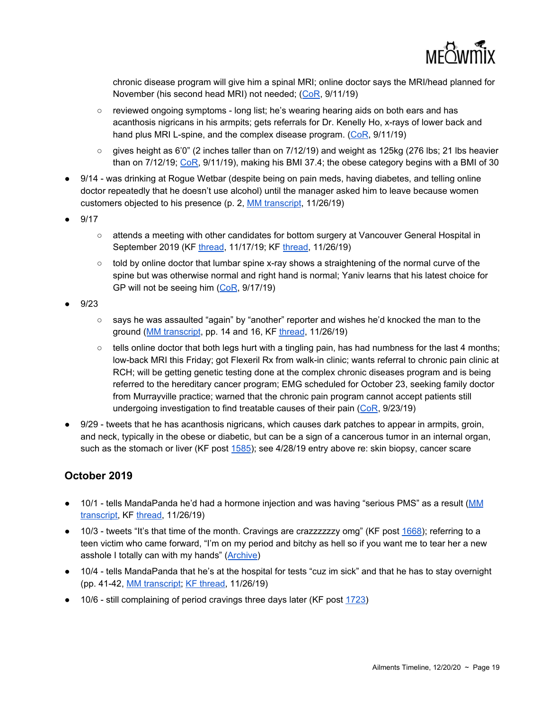chronic disease program will give him a spinal MRI; online doctor says the MRI/head planned for November (his second head MRI) not needed; ([CoR](https://meowmix.org/?mdocs-file=6753), 9/11/19)

- reviewed ongoing symptoms long list; he's wearing hearing aids on both ears and has acanthosis nigricans in his armpits; gets referrals for Dr. Kenelly Ho, x-rays of lower back and hand plus MRI L-spine, and the complex disease program. [\(CoR](https://meowmix.org/?mdocs-file=6753), 9/11/19)
- $\circ$  gives height as 6'0" (2 inches taller than on 7/12/19) and weight as 125kg (276 lbs; 21 lbs heavier than on 7/12/19; [CoR](https://meowmix.org/?mdocs-file=6753), 9/11/19), making his BMI 37.4; the obese category begins with a BMI of 30
- 9/14 was drinking at Rogue Wetbar (despite being on pain meds, having diabetes, and telling online doctor repeatedly that he doesn't use alcohol) until the manager asked him to leave because women customers objected to his presence (p. 2, MM [transcript](https://meowmix.org/the-mandapanda-log/), 11/26/19)
- 9/17
	- attends a meeting with other candidates for bottom surgery at Vancouver General Hospital in September 2019 (KF [thread,](https://kiwifarms.net/threads/images-from-katie-speaks-out-jys-meow-mix.63259/) 11/17/19; KF [thread,](https://kiwifarms.net/threads/mandapanda-log-leaks.63526/) 11/26/19)
	- $\circ$  told by online doctor that lumbar spine x-ray shows a straightening of the normal curve of the spine but was otherwise normal and right hand is normal; Yaniv learns that his latest choice for GP will not be seeing him ([CoR,](https://meowmix.org/?mdocs-file=6753) 9/17/19)
- 9/23
	- says he was assaulted "again" by "another" reporter and wishes he'd knocked the man to the ground (MM [transcript,](https://meowmix.org/the-mandapanda-log/) pp. 14 and 16, KF [thread,](https://kiwifarms.net/threads/mandapanda-log-leaks.63526/) 11/26/19)
	- $\circ$  tells online doctor that both legs hurt with a tingling pain, has had numbness for the last 4 months; low-back MRI this Friday; got Flexeril Rx from walk-in clinic; wants referral to chronic pain clinic at RCH; will be getting genetic testing done at the complex chronic diseases program and is being referred to the hereditary cancer program; EMG scheduled for October 23, seeking family doctor from Murrayville practice; warned that the chronic pain program cannot accept patients still undergoing investigation to find treatable causes of their pain  $(CoR, 9/23/19)$  $(CoR, 9/23/19)$  $(CoR, 9/23/19)$
- 9/29 tweets that he has acanthosis nigricans, which causes dark patches to appear in armpits, groin, and neck, typically in the obese or diabetic, but can be a sign of a cancerous tumor in an internal organ, such as the stomach or liver (KF post [1585](https://kiwifarms.net/threads/jys-tweets-and-other-social-media.58834/page-80#post-5398325)); see 4/28/19 entry above re: skin biopsy, cancer scare

#### **October 2019**

- 10/1 tells MandaPanda he'd had a hormone injection and was having "serious PMS" as a result ([MM](https://meowmix.org/the-mandapanda-log/) [transcript](https://meowmix.org/the-mandapanda-log/), KF [thread,](https://kiwifarms.net/threads/mandapanda-log-leaks.63526/) 11/26/19)
- 10/3 tweets "It's that time of the month. Cravings are crazzzzzzy omg" (KF post [1668](https://kiwifarms.net/threads/jys-tweets-and-other-social-media.58834/page-84#lg=post-5412903&slide=0)); referring to a teen victim who came forward, "I'm on my period and bitchy as hell so if you want me to tear her a new asshole I totally can with my hands" ([Archive](https://archive.fo/duDgZ))
- 10/4 tells MandaPanda that he's at the hospital for tests "cuz im sick" and that he has to stay overnight (pp. 41-42, MM [transcript;](https://meowmix.org/the-mandapanda-log/) KF [thread](https://kiwifarms.net/threads/mandapanda-log-leaks.63526/), 11/26/19)
- 10/6 still complaining of period cravings three days later (KF post [1723\)](https://kiwifarms.net/threads/jys-tweets-and-other-social-media.58834/post-5430196)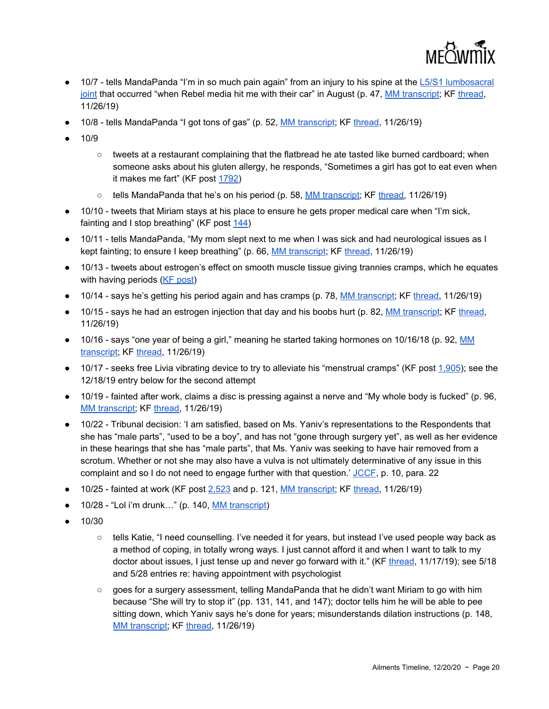

- $\bullet$  10/7 tells MandaPanda "I'm in so much pain again" from an injury to his spine at the L5/S1 [lumbosacral](https://www.spine-health.com/conditions/spine-anatomy/all-about-l5-s1-lumbosacral-joint) [joint](https://www.spine-health.com/conditions/spine-anatomy/all-about-l5-s1-lumbosacral-joint) that occurred "when Rebel media hit me with their car" in August (p. 47, MM [transcript](https://meowmix.org/the-mandapanda-log/); KF [thread](https://kiwifarms.net/threads/mandapanda-log-leaks.63526/), 11/26/19)
- 10/8 tells MandaPanda "I got tons of gas" (p. 52, **MM [transcript;](https://meowmix.org/the-mandapanda-log/) KF [thread,](https://kiwifarms.net/threads/mandapanda-log-leaks.63526/) 11/26/19**)
- 10/9
	- tweets at a restaurant complaining that the flatbread he ate tasted like burned cardboard; when someone asks about his gluten allergy, he responds, "Sometimes a girl has got to eat even when it makes me fart" (KF post [1792\)](https://kiwifarms.net/threads/jys-tweets-and-other-social-media.58834/post-5444657)
	- tells MandaPanda that he's on his period (p. 58, MM [transcript](https://meowmix.org/the-mandapanda-log/); KF [thread,](https://kiwifarms.net/threads/mandapanda-log-leaks.63526/) 11/26/19)
- 10/10 tweets that Miriam stays at his place to ensure he gets proper medical care when "I'm sick, fainting and I stop breathing" (KF post [144\)](https://kiwifarms.net/threads/jys-munchie-saga.58730/post-5448040)
- 10/11 tells MandaPanda, "My mom slept next to me when I was sick and had neurological issues as I kept fainting; to ensure I keep breathing" (p. 66, MM [transcript](https://meowmix.org/the-mandapanda-log/); KF [thread](https://kiwifarms.net/threads/mandapanda-log-leaks.63526/), 11/26/19)
- 10/13 tweets about estrogen's effect on smooth muscle tissue giving trannies cramps, which he equates with having periods (KF [post](https://kiwifarms.net/threads/jys-tweets-and-other-social-media.58834/page-91#lg=post-5454452&slide=0))
- 10/14 says he's getting his period again and has cramps (p. 78, MM [transcript](https://meowmix.org/the-mandapanda-log/); KF [thread,](https://kiwifarms.net/threads/mandapanda-log-leaks.63526/) 11/26/19)
- 10/15 says he had an estrogen injection that day and his boobs hurt (p. 82, MM [transcript](https://meowmix.org/the-mandapanda-log/); KF [thread](https://kiwifarms.net/threads/mandapanda-log-leaks.63526/), 11/26/19)
- 10/16 says "one year of being a girl," meaning he started taking hormones on 10/16/18 (p. 92, [MM](https://meowmix.org/the-mandapanda-log/) [transcript](https://meowmix.org/the-mandapanda-log/); KF [thread,](https://kiwifarms.net/threads/mandapanda-log-leaks.63526/) 11/26/19)
- 10/17 seeks free Livia vibrating device to try to alleviate his "menstrual cramps" (KF post [1,905\)](https://kiwifarms.net/threads/jys-tweets-and-other-social-media.58834/post-5474562); see the 12/18/19 entry below for the second attempt
- 10/19 fainted after work, claims a disc is pressing against a nerve and "My whole body is fucked" (p. 96, MM [transcript;](https://meowmix.org/the-mandapanda-log/) KF [thread,](https://kiwifarms.net/threads/mandapanda-log-leaks.63526/) 11/26/19)
- 10/22 Tribunal decision: 'I am satisfied, based on Ms. Yaniv's representations to the Respondents that she has "male parts", "used to be a boy", and has not "gone through surgery yet", as well as her evidence in these hearings that she has "male parts", that Ms. Yaniv was seeking to have hair removed from a scrotum. Whether or not she may also have a vulva is not ultimately determinative of any issue in this complaint and so I do not need to engage further with that question.'  $\underline{JCCF}$  $\underline{JCCF}$  $\underline{JCCF}$ , p. 10, para. 22
- 10/25 fainted at work (KF post [2,523](https://kiwifarms.net/threads/jys-tweets-and-other-social-media.58834/post-5623059) and p. 121, MM [transcript;](https://meowmix.org/the-mandapanda-log/) KF [thread,](https://kiwifarms.net/threads/mandapanda-log-leaks.63526/) 11/26/19)
- 10/28 "Lol i'm drunk..." (p. 140, MM [transcript](https://meowmix.org/the-mandapanda-log/))
- 10/30
	- tells Katie, "I need counselling. I've needed it for years, but instead I've used people way back as a method of coping, in totally wrong ways. I just cannot afford it and when I want to talk to my doctor about issues, I just tense up and never go forward with it." (KF [thread](https://kiwifarms.net/threads/images-from-katie-speaks-out-jys-meow-mix.63259/#lg=post-5602866&slide=7), 11/17/19); see 5/18 and 5/28 entries re: having appointment with psychologist
	- goes for a surgery assessment, telling MandaPanda that he didn't want Miriam to go with him because "She will try to stop it" (pp. 131, 141, and 147); doctor tells him he will be able to pee sitting down, which Yaniv says he's done for years; misunderstands dilation instructions (p. 148, MM [transcript;](https://meowmix.org/the-mandapanda-log/) KF [thread,](https://kiwifarms.net/threads/mandapanda-log-leaks.63526/) 11/26/19)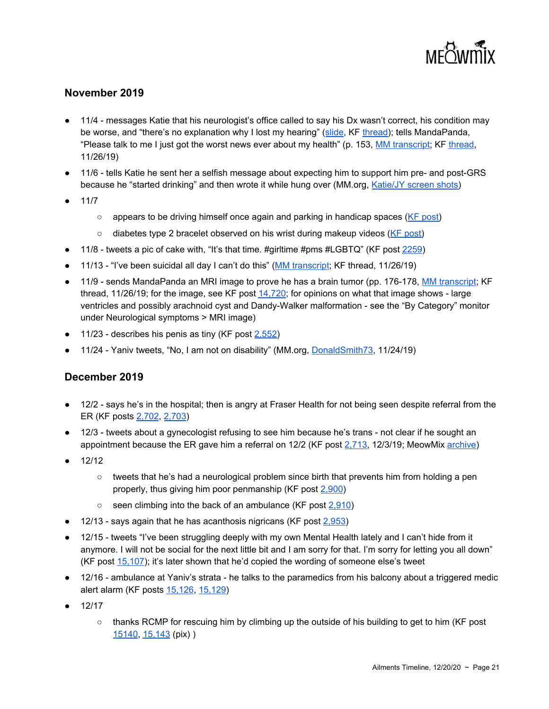

#### **November 2019**

- 11/4 messages Katie that his neurologist's office called to say his Dx wasn't correct, his condition may be worse, and "there's no explanation why I lost my hearing" ([slide](https://kiwifarms.net/threads/images-from-katie-speaks-out-jys-meow-mix.63259/#lg=post-5602866&slide=7), KF [thread\)](https://kiwifarms.net/threads/images-from-katie-speaks-out-jys-meow-mix.63259/); tells MandaPanda, "Please talk to me I just got the worst news ever about my health" (p. 153, MM [transcript](https://meowmix.org/the-mandapanda-log/); KF [thread,](https://kiwifarms.net/threads/mandapanda-log-leaks.63526/) 11/26/19)
- 11/6 tells Katie he sent her a selfish message about expecting him to support him pre- and post-GRS because he "started drinking" and then wrote it while hung over (MM.org, [Katie/JY](https://meowtube.org/images/index.php?sfpg=VmljdGltX1N0b3JpZXMvS2F0aWUvKio4NzkwMDMzOTk2MjllZDE5MTg1YmQ3OTE3NTY0OTY3NDYyZjcxZTVhNjJmOGQ2OTdkMTE1ZmE2MDFmODZkNWVm) screen shots)
- 11/7
	- appears to be driving himself once again and parking in handicap spaces (KF [post\)](https://kiwifarms.net/threads/jys-tweets-and-other-social-media.58834/post-5561714)
	- diabetes type 2 bracelet observed on his wrist during makeup videos (KF [post\)](https://kiwifarms.net/threads/jys-tweets-and-other-social-media.58834/post-5563950)
- 11/8 tweets a pic of cake with, "It's that time. #girltime #pms #LGBTQ" (KF post [2259](https://kiwifarms.net/threads/jys-tweets-and-other-social-media.58834/post-5565761))
- 11/13 "I've been suicidal all day I can't do this" (MM [transcript;](https://meowmix.org/the-mandapanda-log/) KF thread, 11/26/19)
- 11/9 sends MandaPanda an MRI image to prove he has a brain tumor (pp. 176-178, MM [transcript](https://meowmix.org/the-mandapanda-log/); KF thread, 11/26/19; for the image, see KF post  $14,720$ ; for opinions on what that image shows - large ventricles and possibly arachnoid cyst and Dandy-Walker malformation - see the "By Category" monitor under Neurological symptoms > MRI image)
- 11/23 describes his penis as tiny (KF post  $2,552$ )
- 11/24 Yaniv tweets, "No, I am not on disability" (MM.org, [DonaldSmith73](https://meowtube.org/images/index.php?sfpg=VmljdGltX1N0b3JpZXMvRG9uYWxkLypEb25hbGRTbWl0aDczLmpwZyoyZjMxM2I0MWYwNjAyMzEyMTdkMmYwMzRkOTYyMjQwZDdiMjRjMDNmYzZmOGM0YWZhNmQ0ZTMzYmQyZjMzN2Nk), 11/24/19)

#### **December 2019**

- 12/2 says he's in the hospital; then is angry at Fraser Health for not being seen despite referral from the ER (KF posts [2,702](https://kiwifarms.net/threads/jys-tweets-and-other-social-media.58834/post-5662636), [2,703\)](https://kiwifarms.net/threads/jys-tweets-and-other-social-media.58834/post-5662661)
- 12/3 tweets about a gynecologist refusing to see him because he's trans not clear if he sought an appointment because the ER gave him a referral on 12/2 (KF post [2,713,](https://kiwifarms.net/threads/jys-tweets-and-other-social-media.58834/post-5664026) 12/3/19; MeowMix [archive](https://archive.fo/wip/CNxJf))
- 12/12
	- $\circ$  tweets that he's had a neurological problem since birth that prevents him from holding a pen properly, thus giving him poor penmanship (KF post [2,900](https://kiwifarms.net/threads/jys-tweets-and-other-social-media.58834/post-5704894))
	- $\circ$  seen climbing into the back of an ambulance (KF post [2,910\)](https://kiwifarms.net/threads/jys-tweets-and-other-social-media.58834/post-5706392)
- $\bullet$  12/13 says again that he has acanthosis nigricans (KF post  $2,953$ )
- 12/15 tweets "I've been struggling deeply with my own Mental Health lately and I can't hide from it anymore. I will not be social for the next little bit and I am sorry for that. I'm sorry for letting you all down" (KF post [15,107](https://kiwifarms.net/threads/jonathan-yaniv-jessica-yaniv-trustednerd-trustednerd-com-jy-knows-it-jy-british-columbia.49790/post-5724069)); it's later shown that he'd copied the wording of someone else's tweet
- 12/16 ambulance at Yaniv's strata he talks to the paramedics from his balcony about a triggered medic alert alarm (KF posts [15,126](https://kiwifarms.net/threads/jonathan-yaniv-jessica-yaniv-trustednerd-trustednerd-com-jy-knows-it-jy-british-columbia.49790/post-5729804), [15,129](https://kiwifarms.net/threads/jonathan-yaniv-jessica-yaniv-trustednerd-trustednerd-com-jy-knows-it-jy-british-columbia.49790/post-5730274))
- 12/17
	- $\circ$  thanks RCMP for rescuing him by climbing up the outside of his building to get to him (KF post [15140,](https://kiwifarms.net/threads/jonathan-yaniv-jessica-yaniv-trustednerd-trustednerd-com-jy-knows-it-jy-british-columbia.49790/post-5732370) [15,143](https://kiwifarms.net/threads/jonathan-yaniv-jessica-yaniv-trustednerd-trustednerd-com-jy-knows-it-jy-british-columbia.49790/post-5732452) (pix) )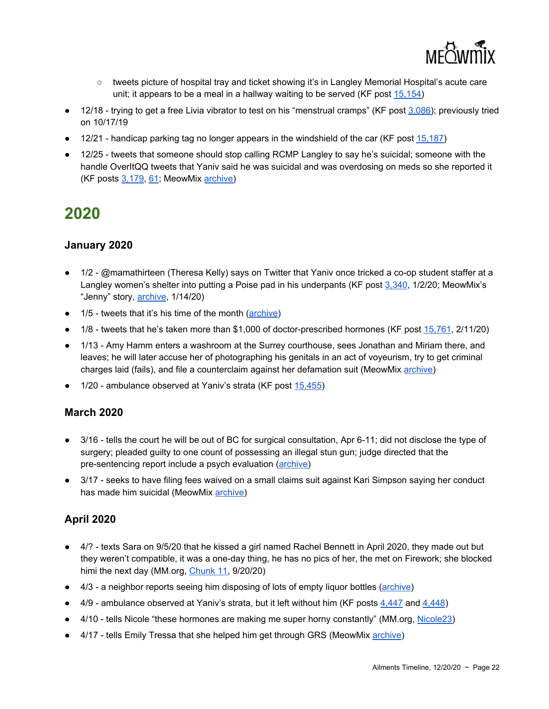

- tweets picture of hospital tray and ticket showing it's in Langley Memorial Hospital's acute care unit; it appears to be a meal in a hallway waiting to be served (KF post [15,154\)](https://kiwifarms.net/threads/jonathan-yaniv-jessica-yaniv-trustednerd-trustednerd-com-jy-knows-it-jy-british-columbia.49790/post-5733548)
- 12/18 trying to get a free Livia vibrator to test on his "menstrual cramps" (KF post [3,086\)](https://kiwifarms.net/threads/jys-tweets-and-other-social-media.58834/post-5739500); previously tried on 10/17/19
- 12/21 handicap parking tag no longer appears in the windshield of the car (KF post [15,187](https://kiwifarms.net/threads/jonathan-yaniv-jessica-yaniv-trustednerd-trustednerd-com-jy-knows-it-jy-british-columbia.49790/post-5750111))
- 12/25 tweets that someone should stop calling RCMP Langley to say he's suicidal; someone with the handle OverItQQ tweets that Yaniv said he was suicidal and was overdosing on meds so she reported it (KF posts [3,179](https://kiwifarms.net/threads/jys-tweets-and-other-social-media.58834/post-5769601), [61](https://kiwifarms.net/threads/mandapanda-log-leaks.63526/post-5769782); MeowMix [archive](https://archive.fo/wip/YrOms))

#### **January 2020**

- 1/2 @mamathirteen (Theresa Kelly) says on Twitter that Yaniv once tricked a co-op student staffer at a Langley women's shelter into putting a Poise pad in his underpants (KF post [3,340](https://kiwifarms.net/threads/jys-tweets-and-other-social-media.58834/post-5805844), 1/2/20; MeowMix's "Jenny" story, [archive](http://archive.li/wip/XDmC5), 1/14/20)
- 1/5 tweets that it's his time of the month ([archive](http://archive.li/wip/znCrt))
- 1/8 tweets that he's taken more than \$1,000 of doctor-prescribed hormones (KF post [15,761](https://kiwifarms.net/threads/jonathan-yaniv-jessica-yaniv-trustednerd-trustednerd-com-jy-knows-it-jy-british-columbia.49790/post-5999862), 2/11/20)
- 1/13 Amy Hamm enters a washroom at the Surrey courthouse, sees Jonathan and Miriam there, and leaves; he will later accuse her of photographing his genitals in an act of voyeurism, try to get criminal charges laid (fails), and file a counterclaim against her defamation suit (MeowMix [archive\)](https://archive.fo/wip/PcLw2)
- 1/20 ambulance observed at Yaniv's strata (KF post [15,455\)](https://kiwifarms.net/threads/jonathan-yaniv-jessica-yaniv-trustednerd-trustednerd-com-jy-knows-it-jy-british-columbia.49790/post-5892159)

#### **March 2020**

- 3/16 tells the court he will be out of BC for surgical consultation, Apr 6-11; did not disclose the type of surgery; pleaded guilty to one count of possessing an illegal stun gun; judge directed that the pre-sentencing report include a psych evaluation [\(archive\)](https://archive.fo/FV0eA)
- 3/17 seeks to have filing fees waived on a small claims suit against Kari Simpson saying her conduct has made him suicidal (MeowMix [archive](https://archive.fo/NmZbF))

#### **April 2020**

- 4/? texts Sara on 9/5/20 that he kissed a girl named Rachel Bennett in April 2020, they made out but they weren't compatible, it was a one-day thing, he has no pics of her, the met on Firework; she blocked himi the next day (MM.org, [Chunk](https://meowmix.org/jessica-yaniv-simpson-saraleaks-final/) 11, 9/20/20)
- 4/3 a neighbor reports seeing him disposing of lots of empty liquor bottles [\(archive](https://kiwifarms.net/threads/jonathan-yaniv-jessica-yaniv-trustednerd-trustednerd-com-jy-knows-it-jy-british-columbia.49790/page-816#lg=post-6237777&slide=0))
- 4/9 ambulance observed at Yaniv's strata, but it left without him (KF posts [4,447](https://kiwifarms.net/threads/jys-tweets-and-other-social-media.58834/post-6269860) and [4,448](https://kiwifarms.net/threads/jys-tweets-and-other-social-media.58834/post-6270288))
- 4/10 tells Nicole "these hormones are making me super horny constantly" (MM.org, [Nicole23\)](https://meowtube.org/images/index.php?sfpg=VmljdGltX1N0b3JpZXMvTmljb2xlLyoqYmU1Zjk4NGJmYzhiNGNhNjhiMTIwMmE0ZDEwOTU1NGYzNTUwNjhhZjEwMWM3MTczZTVhZGZjZjBkYzcyNDljZA)
- 4/17 tells Emily Tressa that she helped him get through GRS (MeowMix [archive\)](https://archive.fo/wip/rT8Xs)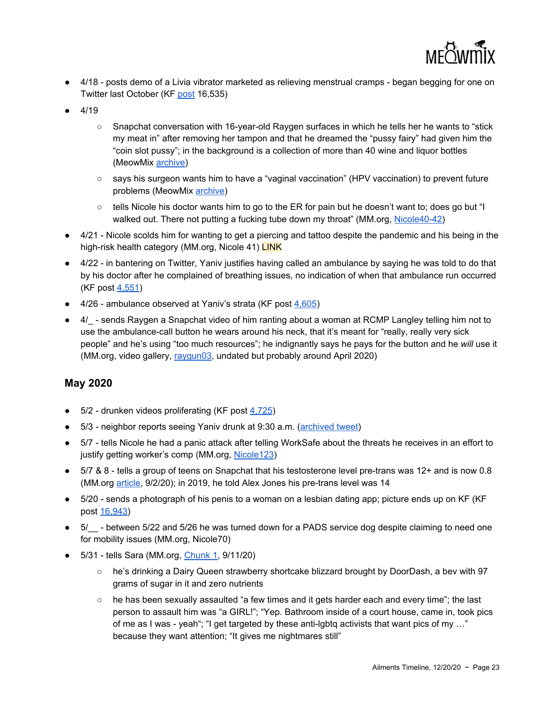

- 4/18 posts demo of a Livia vibrator marketed as relieving menstrual cramps began begging for one on Twitter last October (KF [post](https://kiwifarms.net/threads/jonathan-yaniv-jessica-yaniv-trustednerd-trustednerd-com-jy-knows-it-jy-british-columbia.49790/post-6314340) 16,535)
- $4/19$ 
	- Snapchat conversation with 16-year-old Raygen surfaces in which he tells her he wants to "stick my meat in" after removing her tampon and that he dreamed the "pussy fairy" had given him the "coin slot pussy"; in the background is a collection of more than 40 wine and liquor bottles (MeowMix [archive](https://archive.fo/LIfFu))
	- says his surgeon wants him to have a "vaginal vaccination" (HPV vaccination) to prevent future problems (MeowMix [archive](https://archive.fo/yZoQT))
	- tells Nicole his doctor wants him to go to the ER for pain but he doesn't want to; does go but "I walked out. There not putting a fucking tube down my throat" (MM.org, [Nicole40-42\)](https://meowtube.org/images/index.php?sfpg=VmljdGltX1N0b3JpZXMvTmljb2xlLyoqYmU1Zjk4NGJmYzhiNGNhNjhiMTIwMmE0ZDEwOTU1NGYzNTUwNjhhZjEwMWM3MTczZTVhZGZjZjBkYzcyNDljZA)
- 4/21 Nicole scolds him for wanting to get a piercing and tattoo despite the pandemic and his being in the high-risk health category (MM.org, Nicole 41) LINK
- 4/22 in bantering on Twitter, Yaniv justifies having called an ambulance by saying he was told to do that by his doctor after he complained of breathing issues, no indication of when that ambulance run occurred (KF post [4,551](https://kiwifarms.net/threads/jys-tweets-and-other-social-media.58834/post-6335962))
- $\bullet$  4/26 ambulance observed at Yaniv's strata (KF post  $4,605$ )
- 4/\_- sends Raygen a Snapchat video of him ranting about a woman at RCMP Langley telling him not to use the ambulance-call button he wears around his neck, that it's meant for "really, really very sick people" and he's using "too much resources"; he indignantly says he pays for the button and he *will* use it (MM.org, video gallery, [raygun03](https://meowtube.org/videos/Creepy/ray03.mp4), undated but probably around April 2020)

#### **May 2020**

- 5/2 drunken videos proliferating (KF post [4,725\)](https://kiwifarms.net/threads/jys-tweets-and-other-social-media.58834/post-6396729)
- 5/3 neighbor reports seeing Yaniv drunk at 9:30 a.m. [\(archived](https://archive.fo/wip/RvZnF) tweet)
- 5/7 tells Nicole he had a panic attack after telling WorkSafe about the threats he receives in an effort to justify getting worker's comp (MM.org, [Nicole123](https://meowtube.org/images/index.php?sfpg=VmljdGltX1N0b3JpZXMvTmljb2xlLyoqYmU1Zjk4NGJmYzhiNGNhNjhiMTIwMmE0ZDEwOTU1NGYzNTUwNjhhZjEwMWM3MTczZTVhZGZjZjBkYzcyNDljZA))
- 5/7 & 8 tells a group of teens on Snapchat that his testosterone level pre-trans was 12+ and is now 0.8 (MM.org [article,](https://meowmix.org/baileyleaks-part-2-jessica-yaniv-predator/) 9/2/20); in 2019, he told Alex Jones his pre-trans level was 14
- 5/20 sends a photograph of his penis to a woman on a lesbian dating app; picture ends up on KF (KF) post [16,943](https://kiwifarms.net/threads/jonathan-yaniv-jessica-yaniv-trustednerd-trustednerd-com-jy-knows-it-jy-british-columbia.49790/post-6509960))
- 5/\_\_- between 5/22 and 5/26 he was turned down for a PADS service dog despite claiming to need one for mobility issues (MM.org, Nicole70)
- 5/31 tells Sara (MM.org, [Chunk](https://meowmix.org/jessica-yaniv-simpson-chat-transcripts-sara-my/) 1, 9/11/20)
	- he's drinking a Dairy Queen strawberry shortcake blizzard brought by DoorDash, a bev with 97 grams of sugar in it and zero nutrients
	- $\circ$  he has been sexually assaulted "a few times and it gets harder each and every time"; the last person to assault him was "a GIRL!"; "Yep. Bathroom inside of a court house, came in, took pics of me as I was - yeah"; "I get targeted by these anti-lgbtq activists that want pics of my …" because they want attention; "It gives me nightmares still"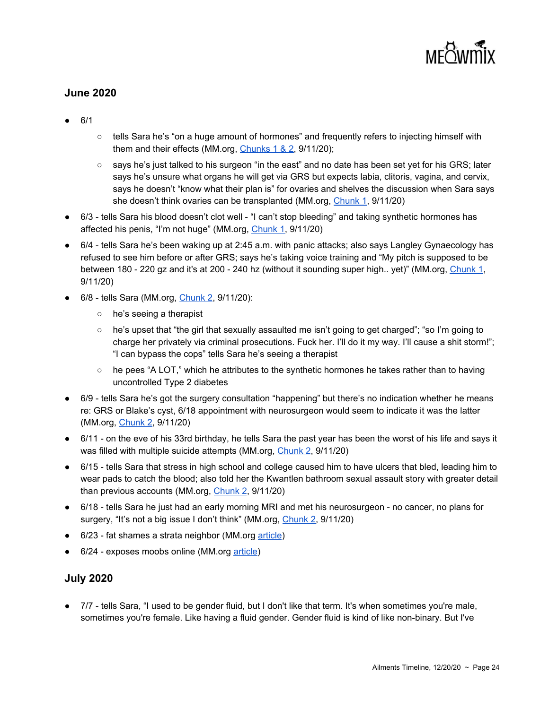# MFOWITHY

#### **June 2020**

- 6/1
- $\circ$  tells Sara he's "on a huge amount of hormones" and frequently refers to injecting himself with them and their effects (MM.org, [Chunks](https://meowmix.org/jessica-yaniv-simpson-chat-transcripts-sara-my/) 1 & 2, 9/11/20);
- says he's just talked to his surgeon "in the east" and no date has been set yet for his GRS; later says he's unsure what organs he will get via GRS but expects labia, clitoris, vagina, and cervix, says he doesn't "know what their plan is" for ovaries and shelves the discussion when Sara says she doesn't think ovaries can be transplanted (MM.org, [Chunk](https://meowmix.org/jessica-yaniv-simpson-chat-transcripts-sara-my/) 1, 9/11/20)
- 6/3 tells Sara his blood doesn't clot well "I can't stop bleeding" and taking synthetic hormones has affected his penis, "I'm not huge" (MM.org, [Chunk](https://meowmix.org/jessica-yaniv-simpson-chat-transcripts-sara-my/) 1, 9/11/20)
- 6/4 tells Sara he's been waking up at 2:45 a.m. with panic attacks; also says Langley Gynaecology has refused to see him before or after GRS; says he's taking voice training and "My pitch is supposed to be between 180 - 220 gz and it's at 200 - 240 hz (without it sounding super high.. yet)" (MM.org, [Chunk](https://meowmix.org/jessica-yaniv-simpson-chat-transcripts-sara-my/) 1, 9/11/20)
- 6/8 tells Sara (MM.org, [Chunk](https://meowmix.org/jessica-yaniv-simpson-chat-transcripts-sara-my/) 2, 9/11/20):
	- he's seeing a therapist
	- he's upset that "the girl that sexually assaulted me isn't going to get charged"; "so I'm going to charge her privately via criminal prosecutions. Fuck her. I'll do it my way. I'll cause a shit storm!"; "I can bypass the cops" tells Sara he's seeing a therapist
	- $\circ$  he pees "A LOT," which he attributes to the synthetic hormones he takes rather than to having uncontrolled Type 2 diabetes
- 6/9 tells Sara he's got the surgery consultation "happening" but there's no indication whether he means re: GRS or Blake's cyst, 6/18 appointment with neurosurgeon would seem to indicate it was the latter (MM.org, [Chunk](https://meowmix.org/jessica-yaniv-simpson-chat-transcripts-sara-my/) 2, 9/11/20)
- 6/11 on the eve of his 33rd birthday, he tells Sara the past year has been the worst of his life and says it was filled with multiple suicide attempts (MM.org, [Chunk](https://meowmix.org/jessica-yaniv-simpson-chat-transcripts-sara-my/) 2, 9/11/20)
- 6/15 tells Sara that stress in high school and college caused him to have ulcers that bled, leading him to wear pads to catch the blood; also told her the Kwantlen bathroom sexual assault story with greater detail than previous accounts (MM.org, [Chunk](https://meowmix.org/jessica-yaniv-simpson-chat-transcripts-sara-my/) 2, 9/11/20)
- 6/18 tells Sara he just had an early morning MRI and met his neurosurgeon no cancer, no plans for surgery, "It's not a big issue I don't think" (MM.org, [Chunk](https://meowmix.org/jessica-yaniv-simpson-chat-transcripts-sara-my/) 2, 9/11/20)
- 6/23 fat shames a strata neighbor (MM.org [article](https://meowmix.org/jys-ironic-fat-shaming-issues/))
- 6/24 exposes moobs online (MM.org [article](https://meowmix.org/yaniv-exposes-their-breasts-again/))

#### **July 2020**

● 7/7 - tells Sara, "I used to be gender fluid, but I don't like that term. It's when sometimes you're male, sometimes you're female. Like having a fluid gender. Gender fluid is kind of like non-binary. But I've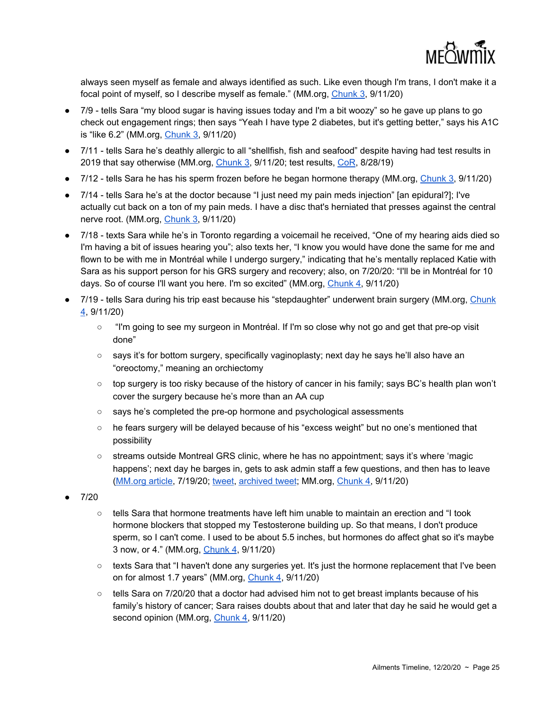

always seen myself as female and always identified as such. Like even though I'm trans, I don't make it a focal point of myself, so I describe myself as female." (MM.org, [Chunk](https://meowmix.org/jessica-yaniv-simpson-chat-transcripts-sara-my/) 3, 9/11/20)

- 7/9 tells Sara "my blood sugar is having issues today and I'm a bit woozy" so he gave up plans to go check out engagement rings; then says "Yeah I have type 2 diabetes, but it's getting better," says his A1C is "like 6.2" (MM.org, [Chunk](https://meowmix.org/jessica-yaniv-simpson-chat-transcripts-sara-my/) 3, 9/11/20)
- 7/11 tells Sara he's deathly allergic to all "shellfish, fish and seafood" despite having had test results in 2019 that say otherwise (MM.org, *[Chunk](https://meowmix.org/jessica-yaniv-simpson-chat-transcripts-sara-my/) 3*, 9/11/20; test results, *CoR*, 8/28/19)
- 7/12 tells Sara he has his sperm frozen before he began hormone therapy (MM.org, [Chunk](https://meowmix.org/jessica-yaniv-simpson-chat-transcripts-sara-my/) 3, 9/11/20)
- 7/14 tells Sara he's at the doctor because "I just need my pain meds injection" [an epidural?]; I've actually cut back on a ton of my pain meds. I have a disc that's herniated that presses against the central nerve root. (MM.org, [Chunk](https://meowmix.org/jessica-yaniv-simpson-chat-transcripts-sara-my/) 3, 9/11/20)
- 7/18 texts Sara while he's in Toronto regarding a voicemail he received, "One of my hearing aids died so I'm having a bit of issues hearing you"; also texts her, "I know you would have done the same for me and flown to be with me in Montréal while I undergo surgery," indicating that he's mentally replaced Katie with Sara as his support person for his GRS surgery and recovery; also, on 7/20/20: "I'll be in Montréal for 10 days. So of course I'll want you here. I'm so excited" (MM.org, [Chunk](https://meowmix.org/jessica-yaniv-simpson-chat-transcripts-sara-my/) 4, 9/11/20)
- 7/19 tells Sara during his trip east because his "stepdaughter" underwent brain surgery (MM.org, [Chunk](https://meowmix.org/jessica-yaniv-simpson-chat-transcripts-sara-my/) [4](https://meowmix.org/jessica-yaniv-simpson-chat-transcripts-sara-my/), 9/11/20)
	- "I'm going to see my surgeon in Montréal. If I'm so close why not go and get that pre-op visit done"
	- says it's for bottom surgery, specifically vaginoplasty; next day he says he'll also have an "oreoctomy," meaning an orchiectomy
	- top surgery is too risky because of the history of cancer in his family; says BC's health plan won't cover the surgery because he's more than an AA cup
	- says he's completed the pre-op hormone and psychological assessments
	- he fears surgery will be delayed because of his "excess weight" but no one's mentioned that possibility
	- streams outside Montreal GRS clinic, where he has no appointment; says it's where 'magic happens'; next day he barges in, gets to ask admin staff a few questions, and then has to leave [\(MM.org](https://meowmix.org/no-jon-no-grs-for-pedos/) article, 7/19/20; [tweet](https://twitter.com/LangleyResident/status/1287068155949363200), [archived](https://archive.fo/wip/oayf2) tweet; MM.org, [Chunk](https://meowmix.org/jessica-yaniv-simpson-chat-transcripts-sara-my/) 4, 9/11/20)
- 7/20
	- $\circ$  tells Sara that hormone treatments have left him unable to maintain an erection and "I took hormone blockers that stopped my Testosterone building up. So that means, I don't produce sperm, so I can't come. I used to be about 5.5 inches, but hormones do affect ghat so it's maybe 3 now, or 4." (MM.org, *[Chunk](https://meowmix.org/jessica-yaniv-simpson-chat-transcripts-sara-my/) 4, 9/11/20)*
	- texts Sara that "I haven't done any surgeries yet. It's just the hormone replacement that I've been on for almost 1.7 years" (MM.org, [Chunk](https://meowmix.org/jessica-yaniv-simpson-chat-transcripts-sara-my/) 4, 9/11/20)
	- tells Sara on 7/20/20 that a doctor had advised him not to get breast implants because of his family's history of cancer; Sara raises doubts about that and later that day he said he would get a second opinion (MM.org, [Chunk](https://meowmix.org/jessica-yaniv-simpson-chat-transcripts-sara-my/) 4, 9/11/20)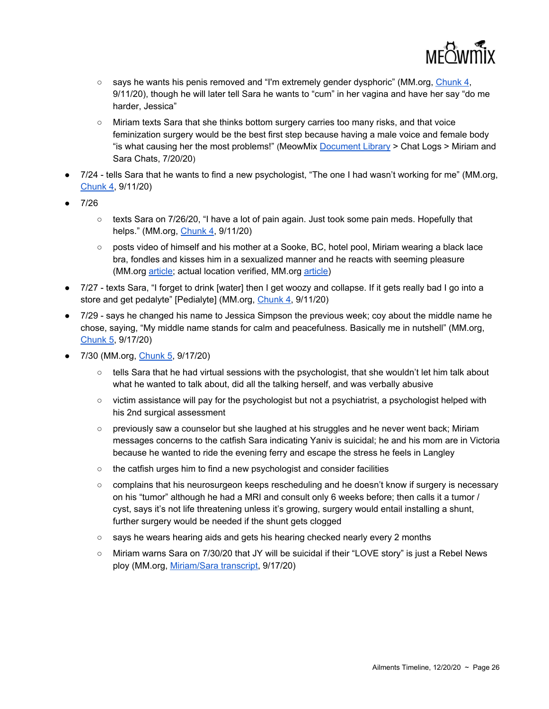

- says he wants his penis removed and "I'm extremely gender dysphoric" (MM.org, [Chunk](https://meowmix.org/jessica-yaniv-simpson-chat-transcripts-sara-my/) 4, 9/11/20), though he will later tell Sara he wants to "cum" in her vagina and have her say "do me harder, Jessica"
- Miriam texts Sara that she thinks bottom surgery carries too many risks, and that voice feminization surgery would be the best first step because having a male voice and female body "is what causing her the most problems!" (MeowMix **[Document](https://meowmix.org/jessica-yaniv-document-library/) Library** > Chat Logs > Miriam and Sara Chats, 7/20/20)
- 7/24 tells Sara that he wants to find a new psychologist, "The one I had wasn't working for me" (MM.org, [Chunk](https://meowmix.org/jessica-yaniv-simpson-chat-transcripts-sara-my/) 4, 9/11/20)
- 7/26
	- $\circ$  texts Sara on 7/26/20, "I have a lot of pain again. Just took some pain meds. Hopefully that helps." (MM.org, *[Chunk](https://meowmix.org/jessica-yaniv-simpson-chat-transcripts-sara-my/) 4, 9/11/20)*
	- posts video of himself and his mother at a Sooke, BC, hotel pool, Miriam wearing a black lace bra, fondles and kisses him in a sexualized manner and he reacts with seeming pleasure (MM.org [article;](https://meowmix.org/aloha-from-hawaii/) actual location verified, MM.org [article\)](https://meowmix.org/yaniv-sighting-report-sooke-bc-not-hawaii/)
- 7/27 texts Sara, "I forget to drink [water] then I get woozy and collapse. If it gets really bad I go into a store and get pedalyte" [Pedialyte] (MM.org, [Chunk](https://meowmix.org/jessica-yaniv-simpson-chat-transcripts-sara-my/) 4, 9/11/20)
- 7/29 says he changed his name to Jessica Simpson the previous week; coy about the middle name he chose, saying, "My middle name stands for calm and peacefulness. Basically me in nutshell" (MM.org, [Chunk](https://meowmix.org/jessica-yaniv-simpson-sara-5-8/) 5, 9/17/20)
- 7/30 (MM.org, [Chunk](https://meowmix.org/jessica-yaniv-simpson-sara-5-8/) 5, 9/17/20)
	- tells Sara that he had virtual sessions with the psychologist, that she wouldn't let him talk about what he wanted to talk about, did all the talking herself, and was verbally abusive
	- $\circ$  victim assistance will pay for the psychologist but not a psychiatrist, a psychologist helped with his 2nd surgical assessment
	- previously saw a counselor but she laughed at his struggles and he never went back; Miriam messages concerns to the catfish Sara indicating Yaniv is suicidal; he and his mom are in Victoria because he wanted to ride the evening ferry and escape the stress he feels in Langley
	- the catfish urges him to find a new psychologist and consider facilities
	- complains that his neurosurgeon keeps rescheduling and he doesn't know if surgery is necessary on his "tumor" although he had a MRI and consult only 6 weeks before; then calls it a tumor / cyst, says it's not life threatening unless it's growing, surgery would entail installing a shunt, further surgery would be needed if the shunt gets clogged
	- says he wears hearing aids and gets his hearing checked nearly every 2 months
	- Miriam warns Sara on 7/30/20 that JY will be suicidal if their "LOVE story" is just a Rebel News ploy (MM.org, [Miriam/Sara](https://meowmix.org/jessica-yaniv-simpson-chat-transcripts-sara-my/) transcript, 9/17/20)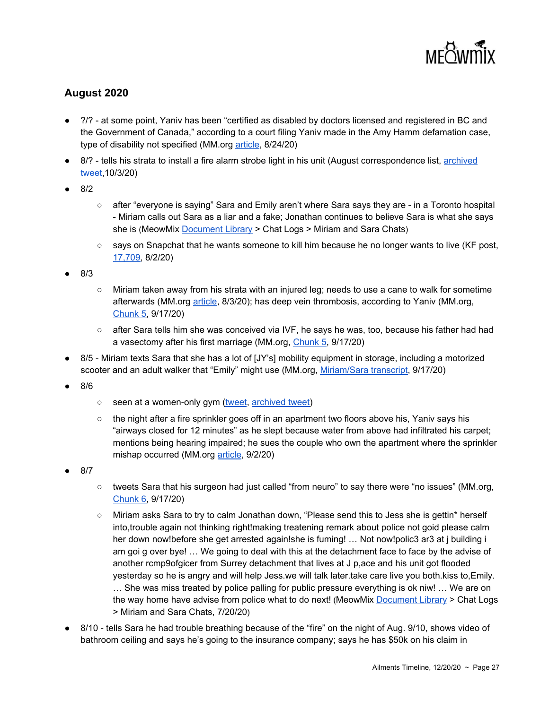

#### **August 2020**

- 2/? at some point, Yaniv has been "certified as disabled by doctors licensed and registered in BC and the Government of Canada," according to a court filing Yaniv made in the Amy Hamm defamation case, type of disability not specified (MM.org [article,](https://meowmix.org/jessica-yaniv-amy-hamm-legal-review/) 8/24/20)
- 8/? tells his strata to install a fire alarm strobe light in his unit (August correspondence list, [archived](https://archive.fo/6pNOR) [tweet,](https://archive.fo/6pNOR)10/3/20)
- 8/2
- after "everyone is saying" Sara and Emily aren't where Sara says they are in a Toronto hospital - Miriam calls out Sara as a liar and a fake; Jonathan continues to believe Sara is what she says she is (MeowMix [Document](https://meowmix.org/jessica-yaniv-document-library/) Library > Chat Logs > Miriam and Sara Chats)
- says on Snapchat that he wants someone to kill him because he no longer wants to live (KF post, [17,709,](https://kiwifarms.net/threads/jonathan-yaniv-jessica-yaniv-trustednerd-trustednerd-com-jy-knows-it-jy-british-columbia.49790/post-7044749) 8/2/20)
- 8/3
- Miriam taken away from his strata with an injured leg; needs to use a cane to walk for sometime afterwards (MM.org [article](https://meowmix.org/miriam-yaniv-matriarch-or-monster-3/), 8/3/20); has deep vein thrombosis, according to Yaniv (MM.org, [Chunk](https://meowmix.org/jessica-yaniv-simpson-sara-5-8/) 5, 9/17/20)
- after Sara tells him she was conceived via IVF, he says he was, too, because his father had had a vasectomy after his first marriage (MM.org, [Chunk](https://meowmix.org/jessica-yaniv-simpson-sara-5-8/) 5, 9/17/20)
- 8/5 Miriam texts Sara that she has a lot of [JY's] mobility equipment in storage, including a motorized scooter and an adult walker that "Emily" might use (MM.org, [Miriam/Sara](https://meowmix.org/jessica-yaniv-simpson-chat-transcripts-sara-my/) transcript, 9/17/20)
- 8/6
- seen at a women-only gym [\(tweet](https://twitter.com/LangleyResident/status/1291262261504307201), [archived](https://archive.fo/wip/JZuDa) tweet)
- the night after a fire sprinkler goes off in an apartment two floors above his, Yaniv says his "airways closed for 12 minutes" as he slept because water from above had infiltrated his carpet; mentions being hearing impaired; he sues the couple who own the apartment where the sprinkler mishap occurred (MM.org [article](https://meowmix.org/jessica-yaniv-simpson-sues-neighbours/), 9/2/20)
- 8/7
- tweets Sara that his surgeon had just called "from neuro" to say there were "no issues" (MM.org, [Chunk](https://meowmix.org/jessica-yaniv-simpson-sara-5-8/) 6, 9/17/20)
- Miriam asks Sara to try to calm Jonathan down, "Please send this to Jess she is gettin\* herself into,trouble again not thinking right!making treatening remark about police not goid please calm her down now!before she get arrested again!she is fuming! ... Not now!polic3 ar3 at j building i am goi g over bye! … We going to deal with this at the detachment face to face by the advise of another rcmp9ofgicer from Surrey detachment that lives at J p,ace and his unit got flooded yesterday so he is angry and will help Jess.we will talk later.take care live you both.kiss to,Emily. … She was miss treated by police palling for public pressure everything is ok niw! … We are on the way home have advise from police what to do next! (MeowMix [Document](https://meowmix.org/jessica-yaniv-document-library/) Library > Chat Logs > Miriam and Sara Chats, 7/20/20)
- 8/10 tells Sara he had trouble breathing because of the "fire" on the night of Aug. 9/10, shows video of bathroom ceiling and says he's going to the insurance company; says he has \$50k on his claim in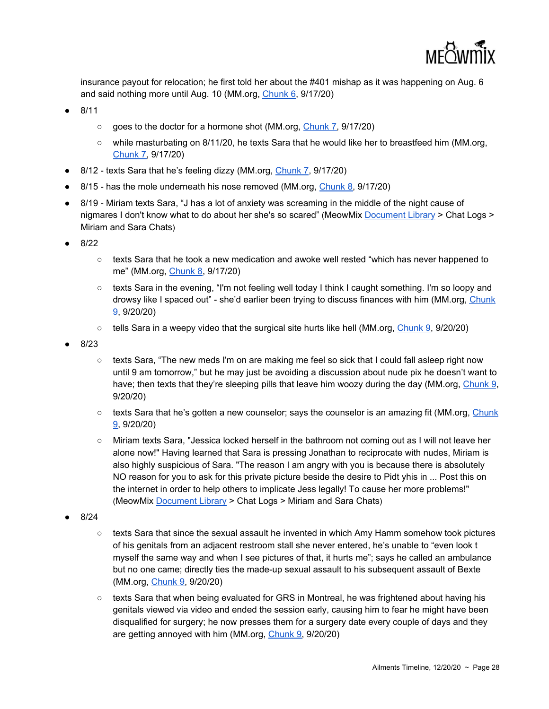

insurance payout for relocation; he first told her about the #401 mishap as it was happening on Aug. 6 and said nothing more until Aug. 10 (MM.org, [Chunk](https://meowmix.org/jessica-yaniv-simpson-sara-5-8/) 6, 9/17/20)

- 8/11
	- goes to the doctor for a hormone shot (MM.org, [Chunk](https://meowmix.org/jessica-yaniv-simpson-sara-5-8/) 7, 9/17/20)
	- while masturbating on 8/11/20, he texts Sara that he would like her to breastfeed him (MM.org, [Chunk](https://meowmix.org/jessica-yaniv-simpson-sara-5-8/) 7, 9/17/20)
- 8/12 texts Sara that he's feeling dizzy (MM.org, [Chunk](https://meowmix.org/jessica-yaniv-simpson-sara-5-8/) 7, 9/17/20)
- 8/15 has the mole underneath his nose removed (MM.org, [Chunk](https://meowmix.org/jessica-yaniv-simpson-sara-5-8/) 8, 9/17/20)
- 8/19 Miriam texts Sara, "J has a lot of anxiety was screaming in the middle of the night cause of nigmares I don't know what to do about her she's so scared" (MeowMix [Document](https://meowmix.org/jessica-yaniv-document-library/) Library > Chat Logs > Miriam and Sara Chats)
- 8/22
	- texts Sara that he took a new medication and awoke well rested "which has never happened to me" (MM.org, [Chunk](https://meowmix.org/jessica-yaniv-simpson-sara-5-8/) 8, 9/17/20)
	- texts Sara in the evening, "I'm not feeling well today I think I caught something. I'm so loopy and drowsy like I spaced out" - she'd earlier been trying to discuss finances with him (MM.org, [Chunk](https://meowmix.org/jessica-yaniv-simpson-saraleaks-final/) [9](https://meowmix.org/jessica-yaniv-simpson-saraleaks-final/), 9/20/20)
	- $\circ$  tells Sara in a weepy video that the surgical site hurts like hell (MM.org, [Chunk](https://meowmix.org/jessica-yaniv-simpson-saraleaks-final/) 9, 9/20/20)
- 8/23
	- texts Sara, "The new meds I'm on are making me feel so sick that I could fall asleep right now until 9 am tomorrow," but he may just be avoiding a discussion about nude pix he doesn't want to have; then texts that they're sleeping pills that leave him woozy during the day (MM.org, [Chunk](https://meowmix.org/jessica-yaniv-simpson-saraleaks-final/) 9, 9/20/20)
	- texts Sara that he's gotten a new counselor; says the counselor is an amazing fit (MM.org, [Chunk](https://meowmix.org/jessica-yaniv-simpson-saraleaks-final/) [9](https://meowmix.org/jessica-yaniv-simpson-saraleaks-final/), 9/20/20)
	- Miriam texts Sara, "Jessica locked herself in the bathroom not coming out as I will not leave her alone now!" Having learned that Sara is pressing Jonathan to reciprocate with nudes, Miriam is also highly suspicious of Sara. "The reason I am angry with you is because there is absolutely NO reason for you to ask for this private picture beside the desire to Pidt yhis in ... Post this on the internet in order to help others to implicate Jess legally! To cause her more problems!" (MeowMix [Document](https://meowmix.org/jessica-yaniv-document-library/) Library > Chat Logs > Miriam and Sara Chats)
- 8/24
	- $\circ$  texts Sara that since the sexual assault he invented in which Amy Hamm somehow took pictures of his genitals from an adjacent restroom stall she never entered, he's unable to "even look t myself the same way and when I see pictures of that, it hurts me"; says he called an ambulance but no one came; directly ties the made-up sexual assault to his subsequent assault of Bexte (MM.org, [Chunk](https://meowmix.org/jessica-yaniv-simpson-saraleaks-final/) 9, 9/20/20)
	- $\circ$  texts Sara that when being evaluated for GRS in Montreal, he was frightened about having his genitals viewed via video and ended the session early, causing him to fear he might have been disqualified for surgery; he now presses them for a surgery date every couple of days and they are getting annoyed with him (MM.org, [Chunk](https://meowmix.org/jessica-yaniv-simpson-saraleaks-final/) 9, 9/20/20)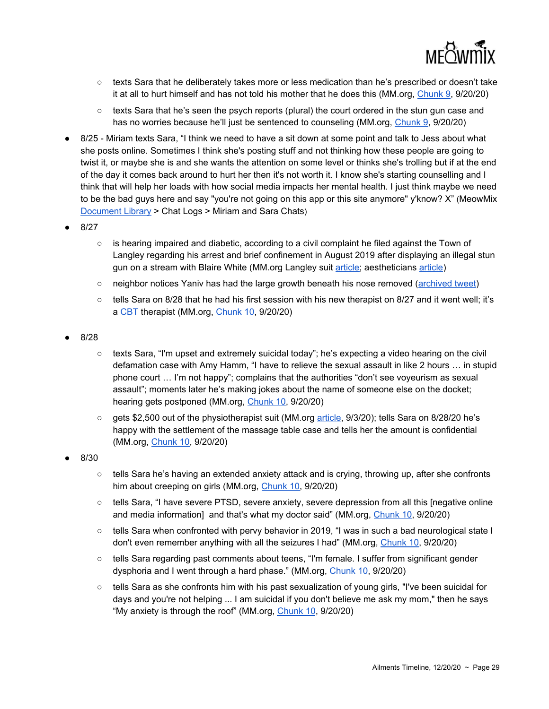

- texts Sara that he deliberately takes more or less medication than he's prescribed or doesn't take it at all to hurt himself and has not told his mother that he does this (MM.org, [Chunk](https://meowmix.org/jessica-yaniv-simpson-saraleaks-final/) 9, 9/20/20)
- texts Sara that he's seen the psych reports (plural) the court ordered in the stun gun case and has no worries because he'll just be sentenced to counseling (MM.org, [Chunk](https://meowmix.org/jessica-yaniv-simpson-saraleaks-final/) 9, 9/20/20)
- 8/25 Miriam texts Sara, "I think we need to have a sit down at some point and talk to Jess about what she posts online. Sometimes I think she's posting stuff and not thinking how these people are going to twist it, or maybe she is and she wants the attention on some level or thinks she's trolling but if at the end of the day it comes back around to hurt her then it's not worth it. I know she's starting counselling and I think that will help her loads with how social media impacts her mental health. I just think maybe we need to be the bad guys here and say "you're not going on this app or this site anymore" y'know? X" (MeowMix [Document](https://meowmix.org/jessica-yaniv-document-library/) Library > Chat Logs > Miriam and Sara Chats)
- 8/27
	- $\circ$  is hearing impaired and diabetic, according to a civil complaint he filed against the Town of Langley regarding his arrest and brief confinement in August 2019 after displaying an illegal stun gun on a stream with Blaire White (MM.org Langley suit [article](https://meowmix.org/jessica-yaniv-arrested-on-aug-8-sues-township-of-langley/); aestheticians [article](https://meowmix.org/jessica-yaniv-simpson-sues-aestheticians-harrasment/))
	- neighbor notices Yaniv has had the large growth beneath his nose removed [\(archived](https://archive.fo/wip/R2w7C) tweet)
	- $\circ$  tells Sara on 8/28 that he had his first session with his new therapist on 8/27 and it went well; it's a [CBT](https://www.apa.org/ptsd-guideline/patients-and-families/cognitive-behavioral) therapist (MM.org, [Chunk](https://meowmix.org/jessica-yaniv-simpson-saraleaks-final/) 10, 9/20/20)
- 8/28
	- texts Sara, "I'm upset and extremely suicidal today"; he's expecting a video hearing on the civil defamation case with Amy Hamm, "I have to relieve the sexual assault in like 2 hours … in stupid phone court … I'm not happy"; complains that the authorities "don't see voyeurism as sexual assault"; moments later he's making jokes about the name of someone else on the docket; hearing gets postponed (MM.org, [Chunk](https://meowmix.org/jessica-yaniv-simpson-saraleaks-final/) 10, 9/20/20)
	- gets \$2,500 out of the physiotherapist suit (MM.org [article](https://meowmix.org/yaniv-simpson-vs-amy-hamm-and-the-physiotherapists/), 9/3/20); tells Sara on 8/28/20 he's happy with the settlement of the massage table case and tells her the amount is confidential (MM.org, [Chunk](https://meowmix.org/jessica-yaniv-simpson-saraleaks-final/) 10, 9/20/20)
- 8/30
	- $\circ$  tells Sara he's having an extended anxiety attack and is crying, throwing up, after she confronts him about creeping on girls (MM.org, [Chunk](https://meowmix.org/jessica-yaniv-simpson-saraleaks-final/) 10, 9/20/20)
	- tells Sara, "I have severe PTSD, severe anxiety, severe depression from all this [negative online and media information] and that's what my doctor said" (MM.org, [Chunk](https://meowmix.org/jessica-yaniv-simpson-saraleaks-final/) 10, 9/20/20)
	- tells Sara when confronted with pervy behavior in 2019, "I was in such a bad neurological state I don't even remember anything with all the seizures I had" (MM.org, [Chunk](https://meowmix.org/jessica-yaniv-simpson-saraleaks-final/) 10, 9/20/20)
	- tells Sara regarding past comments about teens, "I'm female. I suffer from significant gender dysphoria and I went through a hard phase." (MM.org, [Chunk](https://meowmix.org/jessica-yaniv-simpson-saraleaks-final/) 10, 9/20/20)
	- tells Sara as she confronts him with his past sexualization of young girls, "I've been suicidal for days and you're not helping ... I am suicidal if you don't believe me ask my mom," then he says "My anxiety is through the roof" (MM.org, [Chunk](https://meowmix.org/jessica-yaniv-simpson-saraleaks-final/) 10, 9/20/20)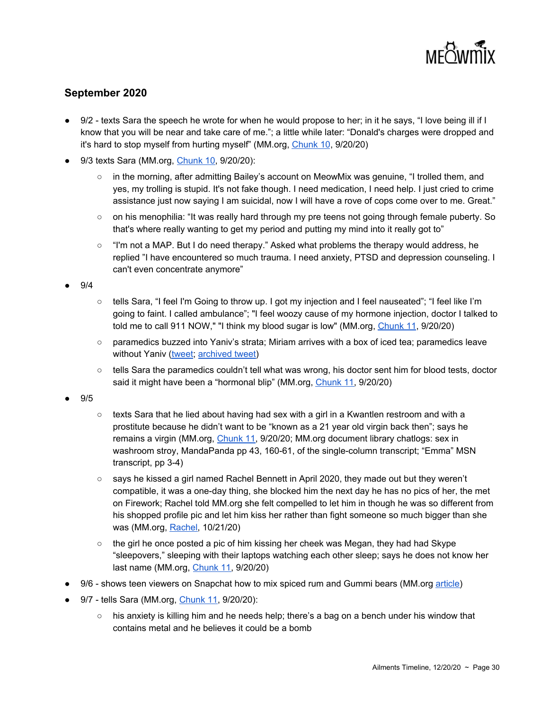

#### **September 2020**

- 9/2 texts Sara the speech he wrote for when he would propose to her; in it he says, "I love being ill if I know that you will be near and take care of me."; a little while later: "Donald's charges were dropped and it's hard to stop myself from hurting myself" (MM.org, [Chunk](https://meowmix.org/jessica-yaniv-simpson-saraleaks-final/) 10, 9/20/20)
- 9/3 texts Sara (MM.org, [Chunk](https://meowmix.org/jessica-yaniv-simpson-saraleaks-final/) 10, 9/20/20):
	- in the morning, after admitting Bailey's account on MeowMix was genuine, "I trolled them, and yes, my trolling is stupid. It's not fake though. I need medication, I need help. I just cried to crime assistance just now saying I am suicidal, now I will have a rove of cops come over to me. Great."
	- on his menophilia: "It was really hard through my pre teens not going through female puberty. So that's where really wanting to get my period and putting my mind into it really got to"
	- "I'm not a MAP. But I do need therapy." Asked what problems the therapy would address, he replied "I have encountered so much trauma. I need anxiety, PTSD and depression counseling. I can't even concentrate anymore"

● 9/4

- tells Sara, "I feel I'm Going to throw up. I got my injection and I feel nauseated"; "I feel like I'm going to faint. I called ambulance"; "I feel woozy cause of my hormone injection, doctor I talked to told me to call 911 NOW," "I think my blood sugar is low" (MM.org, [Chunk](https://meowmix.org/jessica-yaniv-simpson-saraleaks-final/) 11, 9/20/20)
- paramedics buzzed into Yaniv's strata; Miriam arrives with a box of iced tea; paramedics leave without Yaniv [\(tweet](https://twitter.com/LangleyResident/status/1301976088277475330); [archived](https://archive.fo/wip/Mfps8) tweet)
- $\circ$  tells Sara the paramedics couldn't tell what was wrong, his doctor sent him for blood tests, doctor said it might have been a "hormonal blip" (MM.org, [Chunk](https://meowmix.org/jessica-yaniv-simpson-saraleaks-final/) 11, 9/20/20)

● 9/5

- $\circ$  texts Sara that he lied about having had sex with a girl in a Kwantlen restroom and with a prostitute because he didn't want to be "known as a 21 year old virgin back then"; says he remains a virgin (MM.org, *[Chunk](https://meowmix.org/jessica-yaniv-simpson-saraleaks-final/) 11, 9/20/20; MM.org document library chatlogs: sex in* washroom stroy, MandaPanda pp 43, 160-61, of the single-column transcript; "Emma" MSN transcript, pp 3-4)
- says he kissed a girl named Rachel Bennett in April 2020, they made out but they weren't compatible, it was a one-day thing, she blocked him the next day he has no pics of her, the met on Firework; Rachel told MM.org she felt compelled to let him in though he was so different from his shopped profile pic and let him kiss her rather than fight someone so much bigger than she was (MM.org, [Rachel](https://meowmix.org/rachel-speaks-up-against-jessica-yaniv-simpson/), 10/21/20)
- $\circ$  the girl he once posted a pic of him kissing her cheek was Megan, they had had Skype "sleepovers," sleeping with their laptops watching each other sleep; says he does not know her last name (MM.org, [Chunk](https://meowmix.org/jessica-yaniv-simpson-saraleaks-final/) 11, 9/20/20)
- 9/6 shows teen viewers on Snapchat how to mix spiced rum and Gummi bears (MM.org [article\)](https://meowmix.org/jessica-yaniv-simpson-teaching-kids-to-infuse-candies-with-alcohol/)
- 9/7 tells Sara (MM.org, [Chunk](https://meowmix.org/jessica-yaniv-simpson-saraleaks-final/) 11, 9/20/20):
	- $\circ$  his anxiety is killing him and he needs help; there's a bag on a bench under his window that contains metal and he believes it could be a bomb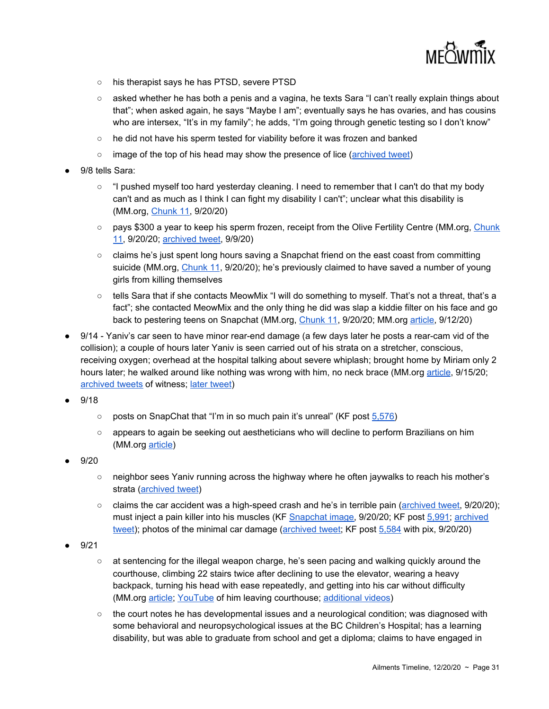

- his therapist says he has PTSD, severe PTSD
- asked whether he has both a penis and a vagina, he texts Sara "I can't really explain things about that"; when asked again, he says "Maybe I am"; eventually says he has ovaries, and has cousins who are intersex, "It's in my family"; he adds, "I'm going through genetic testing so I don't know"
- he did not have his sperm tested for viability before it was frozen and banked
- image of the top of his head may show the presence of lice ([archived](https://archive.fo/wip/hAI9O) tweet)
- 9/8 tells Sara:
	- "I pushed myself too hard yesterday cleaning. I need to remember that I can't do that my body can't and as much as I think I can fight my disability I can't"; unclear what this disability is (MM.org, [Chunk](https://meowmix.org/jessica-yaniv-simpson-saraleaks-final/) 11, 9/20/20)
	- pays \$300 a year to keep his sperm frozen, receipt from the Olive Fertility Centre (MM.org, [Chunk](https://meowmix.org/jessica-yaniv-simpson-saraleaks-final/) [11](https://meowmix.org/jessica-yaniv-simpson-saraleaks-final/), 9/20/20; [archived](https://archive.fo/osw8T) tweet, 9/9/20)
	- claims he's just spent long hours saving a Snapchat friend on the east coast from committing suicide (MM.org, [Chunk](https://meowmix.org/jessica-yaniv-simpson-saraleaks-final/) 11, 9/20/20); he's previously claimed to have saved a number of young girls from killing themselves
	- tells Sara that if she contacts MeowMix "I will do something to myself. That's not a threat, that's a fact"; she contacted MeowMix and the only thing he did was slap a kiddie filter on his face and go back to pestering teens on Snapchat (MM.org, [Chunk](https://meowmix.org/jessica-yaniv-simpson-saraleaks-final/) 11, 9/20/20; MM.org [article](https://meowmix.org/jessica-yaniv-simpson-forgets-sara-returns-to-teens-on-snapchat/), 9/12/20)
- 9/14 Yaniv's car seen to have minor rear-end damage (a few days later he posts a rear-cam vid of the collision); a couple of hours later Yaniv is seen carried out of his strata on a stretcher, conscious, receiving oxygen; overhead at the hospital talking about severe whiplash; brought home by Miriam only 2 hours later; he walked around like nothing was wrong with him, no neck brace (MM.org [article](https://meowmix.org/jessica-yaniv-simpson-car-crash-scam/), 9/15/20; [archived](https://archive.fo/0XNKA) [tweet](https://archive.fo/wip/x44SU)s of witness; later tweet)
- 9/18
	- posts on SnapChat that "I'm in so much pain it's unreal" (KF post [5,576\)](https://kiwifarms.net/threads/jys-tweets-and-other-social-media.58834/page-279#post-7368197)
	- appears to again be seeking out aestheticians who will decline to perform Brazilians on him (MM.org [article\)](https://meowmix.org/warning-jessica-yaniv-simpson-stalking-salons-again/)
- 9/20
	- neighbor sees Yaniv running across the highway where he often jaywalks to reach his mother's strata [\(archived](https://archive.fo/IT7cRhttps://archive.fo/IT7cR) tweet)
	- claims the car accident was a high-speed crash and he's in terrible pain [\(archived](https://archive.fo/wip/61Ogr) tweet, 9/20/20); must inject a pain killer into his muscles (KF [Snapchat](https://kiwifarms.net/threads/jys-tweets-and-other-social-media.58834/page-280#lg=post-7387045&slide=1) image, 9/20/20; KF post [5,991;](https://kiwifarms.net/threads/jys-tweets-and-other-social-media.58834/page-280#post-7387045) [archived](https://archive.fo/IT7cR) [tweet\)](https://archive.fo/IT7cR); photos of the minimal car damage ([archived](https://archive.fo/wip/WqWSM) tweet; KF post [5,584](https://kiwifarms.net/threads/jys-tweets-and-other-social-media.58834/page-280#post-7383317) with pix, 9/20/20)
- 9/21
	- at sentencing for the illegal weapon charge, he's seen pacing and walking quickly around the courthouse, climbing 22 stairs twice after declining to use the elevator, wearing a heavy backpack, turning his head with ease repeatedly, and getting into his car without difficulty (MM.org [article;](https://meowmix.org/sept-21-court-updates-live-update/) [YouTube](https://www.youtube.com/watch?reload=9&time_continue=8&v=Tc515R7RlFQ&feature=emb_logo&ab_channel=NEWSNOWCANADAINDEPENDENTMEDIA) of him leaving courthouse; [additional](https://meowmix.org/jessica-yaniv-simpson-9-21-2020-courthouse-clips/#comment-1616) videos)
	- $\circ$  the court notes he has developmental issues and a neurological condition; was diagnosed with some behavioral and neuropsychological issues at the BC Children's Hospital; has a learning disability, but was able to graduate from school and get a diploma; claims to have engaged in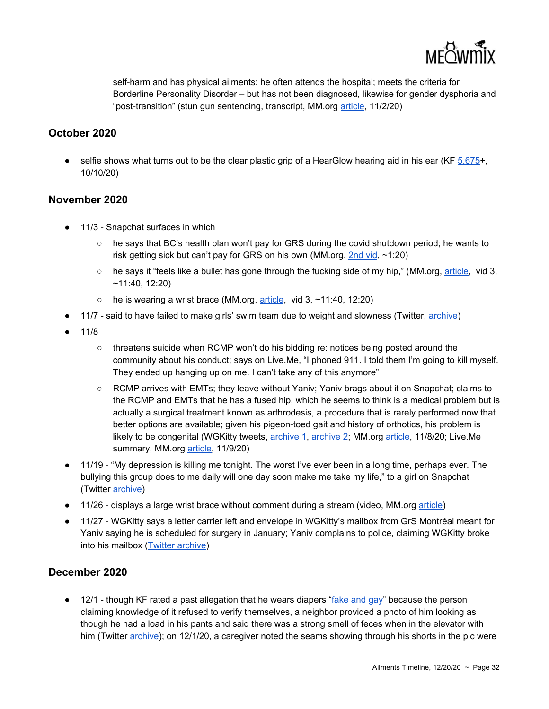

self-harm and has physical ailments; he often attends the hospital; meets the criteria for Borderline Personality Disorder – but has not been diagnosed, likewise for gender dysphoria and "post-transition" (stun gun sentencing, transcript, MM.org [article](https://meowmix.org/jessica-yaniv-simpson-sentencing-hearing-transcripts/), 11/2/20)

#### **October 2020**

 $\bullet$  selfie shows what turns out to be the clear plastic grip of a HearGlow hearing aid in his ear (KF  $5,675+$ , 10/10/20)

#### **November 2020**

- 11/3 Snapchat surfaces in which
	- $\circ$  he says that BC's health plan won't pay for GRS during the covid shutdown period; he wants to risk getting sick but can't pay for GRS on his own (MM.org, [2nd](https://meowmix.org/jessica-yaniv-simpson-snapchat-megaleak/) vid, ~1:20)
	- $\circ$  he says it "feels like a bullet has gone through the fucking side of my hip," (MM.org, [article,](https://meowmix.org/jessica-yaniv-simpson-snapchat-megaleak/) vid 3, ~11:40, 12:20)
	- $\circ$  he is wearing a wrist brace (MM.org, [article](https://meowmix.org/jessica-yaniv-simpson-snapchat-megaleak/), vid 3, ~11:40, 12:20)
- 11/7 said to have failed to make girls' swim team due to weight and slowness (Twitter, [archive\)](https://archive.fo/wip/MfOm0)
- 11/8
	- threatens suicide when RCMP won't do his bidding re: notices being posted around the community about his conduct; says on Live.Me, "I phoned 911. I told them I'm going to kill myself. They ended up hanging up on me. I can't take any of this anymore"
	- RCMP arrives with EMTs; they leave without Yaniv; Yaniv brags about it on Snapchat; claims to the RCMP and EMTs that he has a fused hip, which he seems to think is a medical problem but is actually a surgical treatment known as arthrodesis, a procedure that is rarely performed now that better options are available; given his pigeon-toed gait and history of orthotics, his problem is likely to be congenital (WGKitty tweets, [archive](https://archive.fo/YOzFP) 1, [archive](https://archive.fo/wip/02nuQ) 2; MM.org [article](https://meowmix.org/jessica-yaniv-simpson-calls-police-claims-to-file-new-bchrt-claim/), 11/8/20; Live.Me summary, MM.org [article,](https://meowmix.org/jessica-yaniv-simpson-liveme/) 11/9/20)
- 11/19 "My depression is killing me tonight. The worst I've ever been in a long time, perhaps ever. The bullying this group does to me daily will one day soon make me take my life," to a girl on Snapchat (Twitter [archive](https://archive.fo/wip/tQu8F))
- 11/26 displays a large wrist brace without comment during a stream (video, MM.org [article\)](https://meowmix.org/jessica-yaniv-simpson-dj-pedo-snapchat/)
- 11/27 WGKitty says a letter carrier left and envelope in WGKitty's mailbox from GrS Montréal meant for Yaniv saying he is scheduled for surgery in January; Yaniv complains to police, claiming WGKitty broke into his mailbox (Twitter [archive\)](https://archive.fo/GLTrA)

#### **December 2020**

● 12/1 - though KF rated a past allegation that he wears diapers ["fake](https://kiwifarms.net/threads/jonathan-yaniv-jessica-yaniv-trustednerd-trustednerd-com-jy-knows-it-jy-british-columbia.49790/page-900#post-7240618) and gay" because the person claiming knowledge of it refused to verify themselves, a neighbor provided a photo of him looking as though he had a load in his pants and said there was a strong smell of feces when in the elevator with him (Twitter [archive](https://archive.fo/b8L9q)); on 12/1/20, a caregiver noted the seams showing through his shorts in the pic were